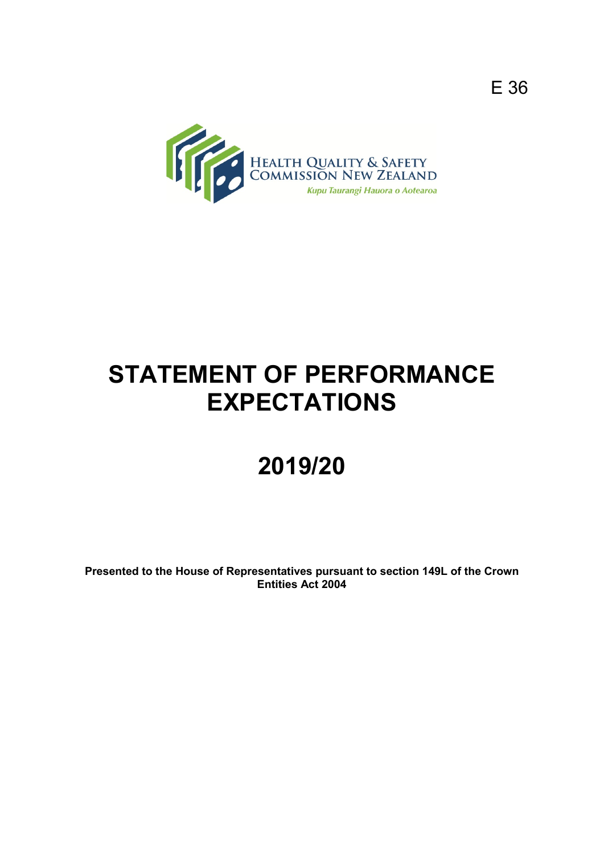

# **STATEMENT OF PERFORMANCE EXPECTATIONS**

# **2019/20**

**Presented to the House of Representatives pursuant to section 149L of the Crown Entities Act 2004**

E 36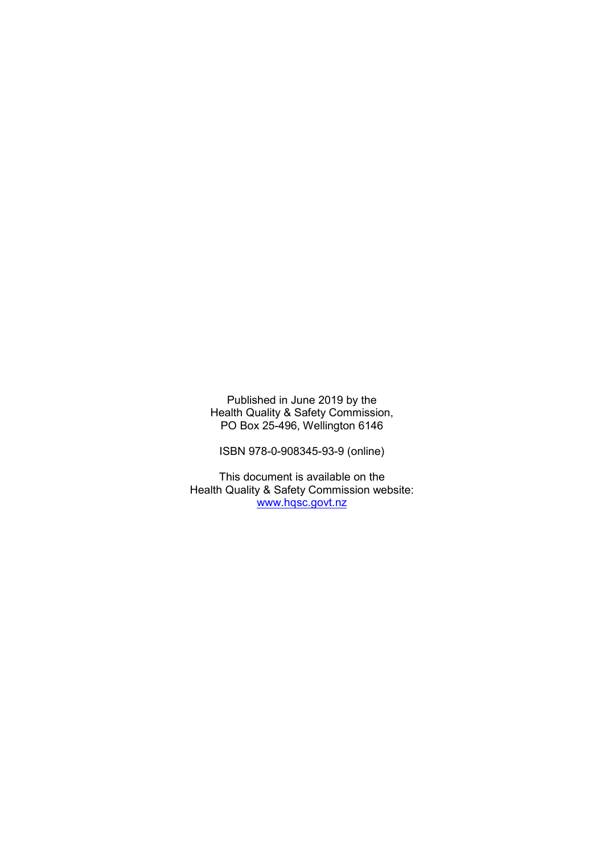Published in June 2019 by the Health Quality & Safety Commission, PO Box 25-496, Wellington 6146

ISBN 978-0-908345-93-9 (online)

This document is available on the Health Quality & Safety Commission website: [www.hqsc.govt.nz](http://www.hqsc.govt.nz/)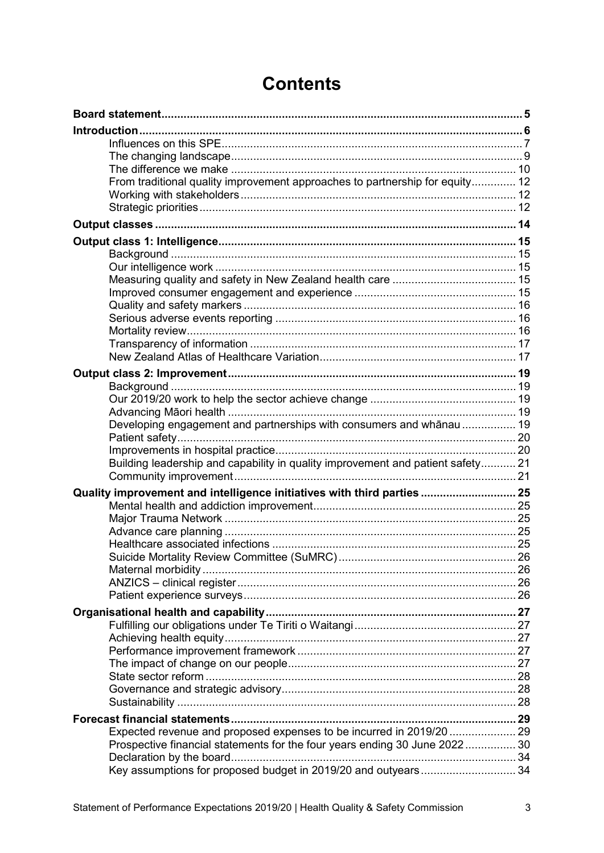| From traditional quality improvement approaches to partnership for equity 12    |  |
|---------------------------------------------------------------------------------|--|
|                                                                                 |  |
|                                                                                 |  |
|                                                                                 |  |
|                                                                                 |  |
|                                                                                 |  |
|                                                                                 |  |
|                                                                                 |  |
|                                                                                 |  |
|                                                                                 |  |
|                                                                                 |  |
|                                                                                 |  |
|                                                                                 |  |
|                                                                                 |  |
|                                                                                 |  |
|                                                                                 |  |
|                                                                                 |  |
| Developing engagement and partnerships with consumers and whānau  19            |  |
|                                                                                 |  |
| Building leadership and capability in quality improvement and patient safety 21 |  |
|                                                                                 |  |
| Quality improvement and intelligence initiatives with third parties 25          |  |
|                                                                                 |  |
|                                                                                 |  |
|                                                                                 |  |
|                                                                                 |  |
|                                                                                 |  |
|                                                                                 |  |
|                                                                                 |  |
|                                                                                 |  |
|                                                                                 |  |
|                                                                                 |  |
|                                                                                 |  |
|                                                                                 |  |
|                                                                                 |  |
|                                                                                 |  |
|                                                                                 |  |
|                                                                                 |  |
| Expected revenue and proposed expenses to be incurred in 2019/20  29            |  |
| Prospective financial statements for the four years ending 30 June 2022 30      |  |
|                                                                                 |  |
| Key assumptions for proposed budget in 2019/20 and outyears 34                  |  |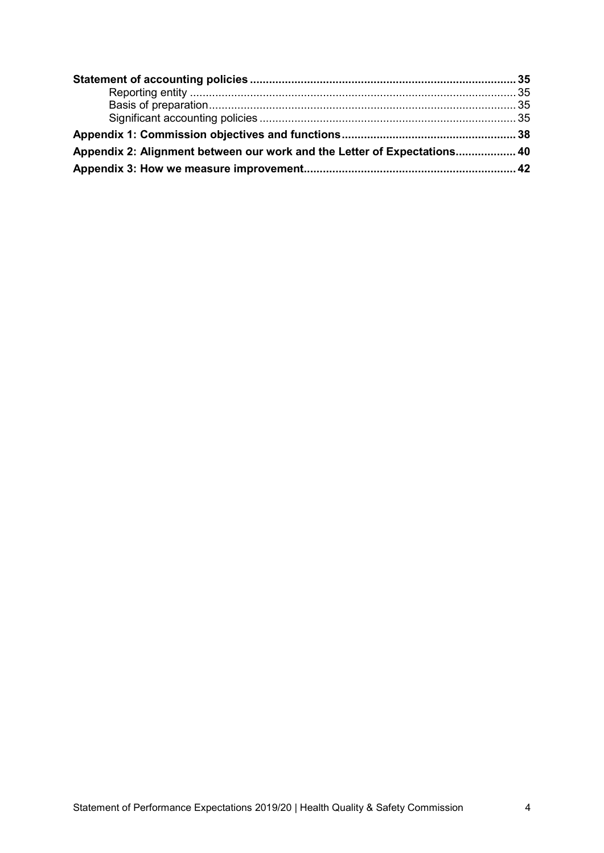| Appendix 2: Alignment between our work and the Letter of Expectations 40 |  |
|--------------------------------------------------------------------------|--|
|                                                                          |  |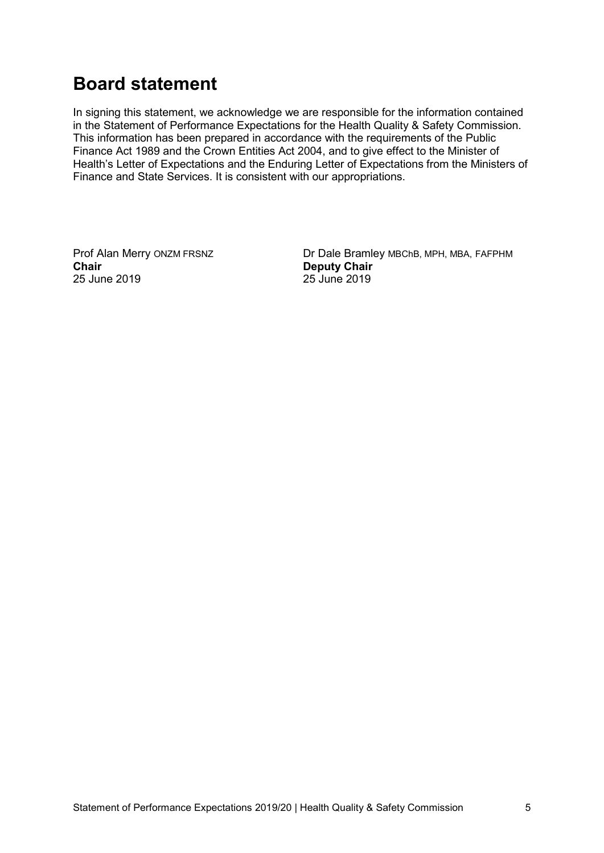# <span id="page-4-0"></span>**Board statement**

In signing this statement, we acknowledge we are responsible for the information contained in the Statement of Performance Expectations for the Health Quality & Safety Commission. This information has been prepared in accordance with the requirements of the Public Finance Act 1989 and the Crown Entities Act 2004, and to give effect to the Minister of Health's Letter of Expectations and the Enduring Letter of Expectations from the Ministers of Finance and State Services. It is consistent with our appropriations.

25 June 2019

Prof Alan Merry ONZM FRSNZ<br> **Chair** Deputy Chair<br>
Deputy Chair **Deputy Chair**<br>25 June 2019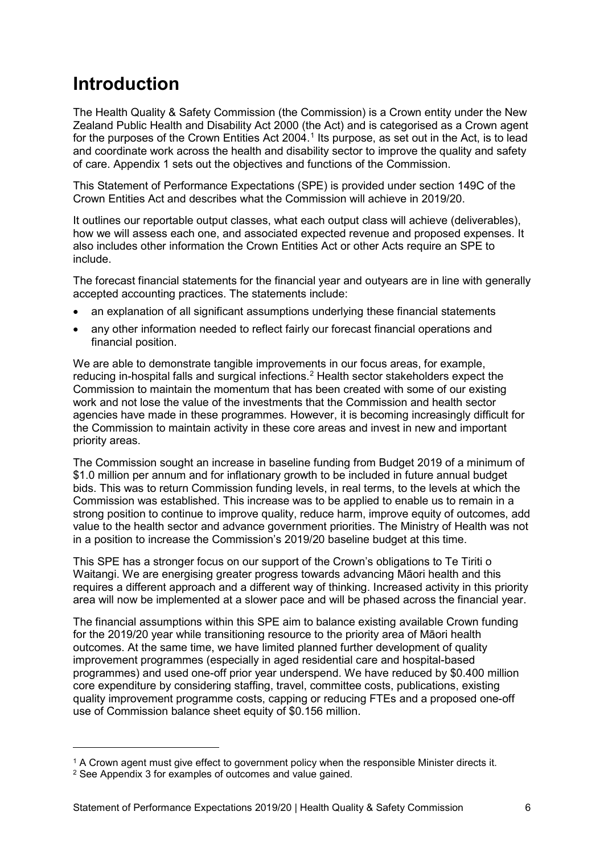# <span id="page-5-0"></span>**Introduction**

The Health Quality & Safety Commission (the Commission) is a Crown entity under the New Zealand Public Health and Disability Act 2000 (the Act) and is categorised as a Crown agent for the purposes of the Crown Entities Act 2004.<sup>[1](#page-5-1)</sup> Its purpose, as set out in the Act, is to lead and coordinate work across the health and disability sector to improve the quality and safety of care. Appendix 1 sets out the objectives and functions of the Commission.

This Statement of Performance Expectations (SPE) is provided under section 149C of the Crown Entities Act and describes what the Commission will achieve in 2019/20.

It outlines our reportable output classes, what each output class will achieve (deliverables), how we will assess each one, and associated expected revenue and proposed expenses. It also includes other information the Crown Entities Act or other Acts require an SPE to include.

The forecast financial statements for the financial year and outyears are in line with generally accepted accounting practices. The statements include:

- an explanation of all significant assumptions underlying these financial statements
- any other information needed to reflect fairly our forecast financial operations and financial position.

We are able to demonstrate tangible improvements in our focus areas, for example, reducing in-hospital falls and surgical infections. [2](#page-5-2) Health sector stakeholders expect the Commission to maintain the momentum that has been created with some of our existing work and not lose the value of the investments that the Commission and health sector agencies have made in these programmes. However, it is becoming increasingly difficult for the Commission to maintain activity in these core areas and invest in new and important priority areas.

The Commission sought an increase in baseline funding from Budget 2019 of a minimum of \$1.0 million per annum and for inflationary growth to be included in future annual budget bids. This was to return Commission funding levels, in real terms, to the levels at which the Commission was established. This increase was to be applied to enable us to remain in a strong position to continue to improve quality, reduce harm, improve equity of outcomes, add value to the health sector and advance government priorities. The Ministry of Health was not in a position to increase the Commission's 2019/20 baseline budget at this time.

This SPE has a stronger focus on our support of the Crown's obligations to Te Tiriti o Waitangi. We are energising greater progress towards advancing Māori health and this requires a different approach and a different way of thinking. Increased activity in this priority area will now be implemented at a slower pace and will be phased across the financial year.

The financial assumptions within this SPE aim to balance existing available Crown funding for the 2019/20 year while transitioning resource to the priority area of Māori health outcomes. At the same time, we have limited planned further development of quality improvement programmes (especially in aged residential care and hospital-based programmes) and used one-off prior year underspend. We have reduced by \$0.400 million core expenditure by considering staffing, travel, committee costs, publications, existing quality improvement programme costs, capping or reducing FTEs and a proposed one-off use of Commission balance sheet equity of \$0.156 million.

-

<span id="page-5-1"></span><sup>1</sup> A Crown agent must give effect to government policy when the responsible Minister directs it.

<span id="page-5-2"></span><sup>2</sup> See Appendix 3 for examples of outcomes and value gained.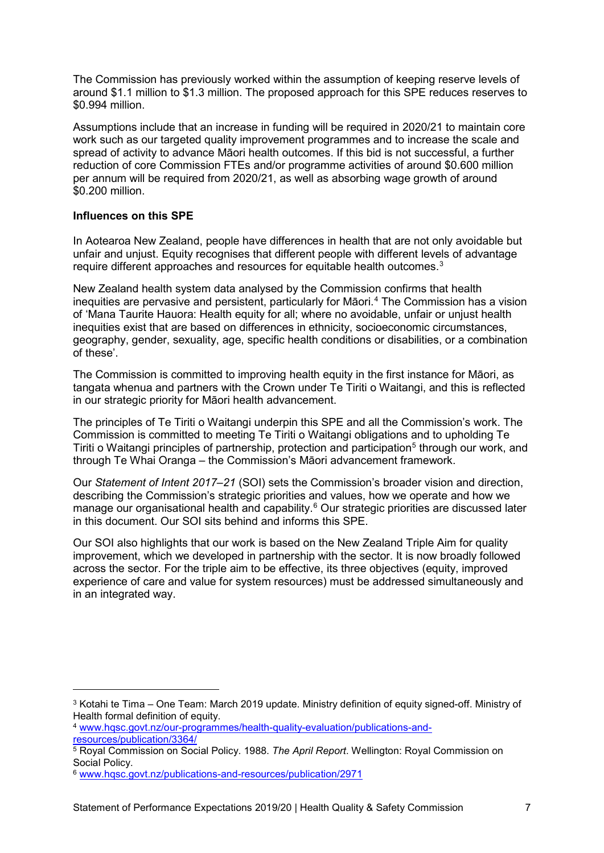The Commission has previously worked within the assumption of keeping reserve levels of around \$1.1 million to \$1.3 million. The proposed approach for this SPE reduces reserves to \$0.994 million.

Assumptions include that an increase in funding will be required in 2020/21 to maintain core work such as our targeted quality improvement programmes and to increase the scale and spread of activity to advance Māori health outcomes. If this bid is not successful, a further reduction of core Commission FTEs and/or programme activities of around \$0.600 million per annum will be required from 2020/21, as well as absorbing wage growth of around \$0.200 million.

#### <span id="page-6-0"></span>**Influences on this SPE**

-

In Aotearoa New Zealand, people have differences in health that are not only avoidable but unfair and unjust. Equity recognises that different people with different levels of advantage require different approaches and resources for equitable health outcomes.<sup>[3](#page-6-1)</sup>

New Zealand health system data analysed by the Commission confirms that health inequities are pervasive and persistent, particularly for Māori. [4](#page-6-2) The Commission has a vision of 'Mana Taurite Hauora: Health equity for all; where no avoidable, unfair or unjust health inequities exist that are based on differences in ethnicity, socioeconomic circumstances, geography, gender, sexuality, age, specific health conditions or disabilities, or a combination of these'.

The Commission is committed to improving health equity in the first instance for Māori, as tangata whenua and partners with the Crown under Te Tiriti o Waitangi, and this is reflected in our strategic priority for Māori health advancement.

The principles of Te Tiriti o Waitangi underpin this SPE and all the Commission's work. The Commission is committed to meeting Te Tiriti o Waitangi obligations and to upholding Te Tiriti o Waitangi principles of partnership, protection and participation<sup>[5](#page-6-3)</sup> through our work, and through Te Whai Oranga – the Commission's Māori advancement framework.

Our *Statement of Intent 2017–21* (SOI) sets the Commission's broader vision and direction, describing the Commission's strategic priorities and values, how we operate and how we manage our organisational health and capability.<sup>[6](#page-6-4)</sup> Our strategic priorities are discussed later in this document. Our SOI sits behind and informs this SPE.

Our SOI also highlights that our work is based on the New Zealand Triple Aim for quality improvement, which we developed in partnership with the sector. It is now broadly followed across the sector. For the triple aim to be effective, its three objectives (equity, improved experience of care and value for system resources) must be addressed simultaneously and in an integrated way.

<span id="page-6-1"></span><sup>3</sup> Kotahi te Tima – One Team: March 2019 update. Ministry definition of equity signed-off. Ministry of Health formal definition of equity.

<span id="page-6-2"></span><sup>4</sup> [www.hqsc.govt.nz/our-programmes/health-quality-evaluation/publications-and](http://www.hqsc.govt.nz/our-programmes/health-quality-evaluation/publications-and-resources/publication/3364/)[resources/publication/3364/](http://www.hqsc.govt.nz/our-programmes/health-quality-evaluation/publications-and-resources/publication/3364/)

<span id="page-6-3"></span><sup>5</sup> Royal Commission on Social Policy. 1988. *The April Report*. Wellington: Royal Commission on

<span id="page-6-4"></span><sup>&</sup>lt;sup>6</sup> www.hqsc.govt.nz/publications-and-resources/publication/2971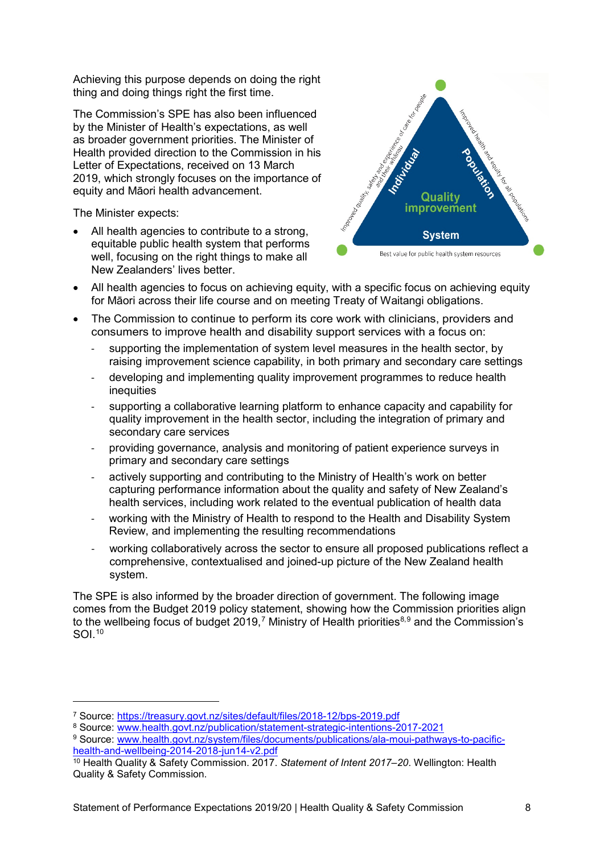Achieving this purpose depends on doing the right thing and doing things right the first time.

The Commission's SPE has also been influenced by the Minister of Health's expectations, as well as broader government priorities. The Minister of Health provided direction to the Commission in his Letter of Expectations, received on 13 March 2019, which strongly focuses on the importance of equity and Māori health advancement.

The Minister expects:

-

All health agencies to contribute to a strong, equitable public health system that performs well, focusing on the right things to make all New Zealanders' lives better.



- All health agencies to focus on achieving equity, with a specific focus on achieving equity for Māori across their life course and on meeting Treaty of Waitangi obligations.
- The Commission to continue to perform its core work with clinicians, providers and consumers to improve health and disability support services with a focus on:
	- supporting the implementation of system level measures in the health sector, by raising improvement science capability, in both primary and secondary care settings
	- developing and implementing quality improvement programmes to reduce health inequities
	- supporting a collaborative learning platform to enhance capacity and capability for quality improvement in the health sector, including the integration of primary and secondary care services
	- providing governance, analysis and monitoring of patient experience surveys in primary and secondary care settings
	- actively supporting and contributing to the Ministry of Health's work on better capturing performance information about the quality and safety of New Zealand's health services, including work related to the eventual publication of health data
	- working with the Ministry of Health to respond to the Health and Disability System Review, and implementing the resulting recommendations
	- working collaboratively across the sector to ensure all proposed publications reflect a comprehensive, contextualised and joined-up picture of the New Zealand health system.

The SPE is also informed by the broader direction of government. The following image comes from the Budget 2019 policy statement, showing how the Commission priorities align to the wellbeing focus of budget 2019,<sup>[7](#page-7-0)</sup> Ministry of Health priorities $^{\text{8,9}}$  $^{\text{8,9}}$  $^{\text{8,9}}$  $^{\text{8,9}}$  and the Commission's SOI.[10](#page-7-3)

<span id="page-7-0"></span><sup>7</sup> Source:<https://treasury.govt.nz/sites/default/files/2018-12/bps-2019.pdf>

<span id="page-7-1"></span><sup>8</sup> Source: www.health.govt.nz/publication/statement-strategic-intentions-2017-2021

<span id="page-7-2"></span><sup>9</sup> Source: www.health.govt.nz/system/files/documents/publications/ala-moui-pathways-to-pacifichealth-and-wellbeing-2014-2018-jun14-v2.pdf

<span id="page-7-3"></span><sup>10</sup> Health Quality & Safety Commission. 2017. *Statement of Intent 2017–20*. Wellington: Health Quality & Safety Commission.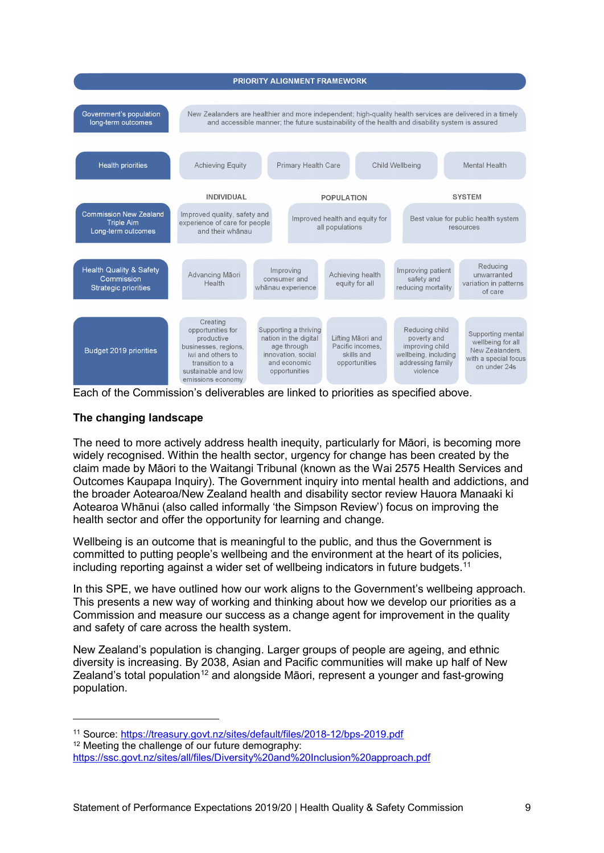

Each of the Commission's deliverables are linked to priorities as specified above.

# <span id="page-8-0"></span>**The changing landscape**

The need to more actively address health inequity, particularly for Māori, is becoming more widely recognised. Within the health sector, urgency for change has been created by the claim made by Māori to the Waitangi Tribunal (known as the Wai 2575 Health Services and Outcomes Kaupapa Inquiry). The Government inquiry into mental health and addictions, and the broader Aotearoa/New Zealand health and disability sector review Hauora Manaaki ki Aotearoa Whānui (also called informally 'the Simpson Review') focus on improving the health sector and offer the opportunity for learning and change.

Wellbeing is an outcome that is meaningful to the public, and thus the Government is committed to putting people's wellbeing and the environment at the heart of its policies, including reporting against a wider set of wellbeing indicators in future budgets.<sup>[11](#page-8-1)</sup>

In this SPE, we have outlined how our work aligns to the Government's wellbeing approach. This presents a new way of working and thinking about how we develop our priorities as a Commission and measure our success as a change agent for improvement in the quality and safety of care across the health system.

New Zealand's population is changing. Larger groups of people are ageing, and ethnic diversity is increasing. By 2038, Asian and Pacific communities will make up half of New Zealand's total population<sup>[12](#page-8-2)</sup> and alongside Māori, represent a younger and fast-growing population.

-

<span id="page-8-1"></span><sup>11</sup> Source:<https://treasury.govt.nz/sites/default/files/2018-12/bps-2019.pdf>

<sup>&</sup>lt;sup>12</sup> Meeting the challenge of our future demography:

<span id="page-8-2"></span><https://ssc.govt.nz/sites/all/files/Diversity%20and%20Inclusion%20approach.pdf>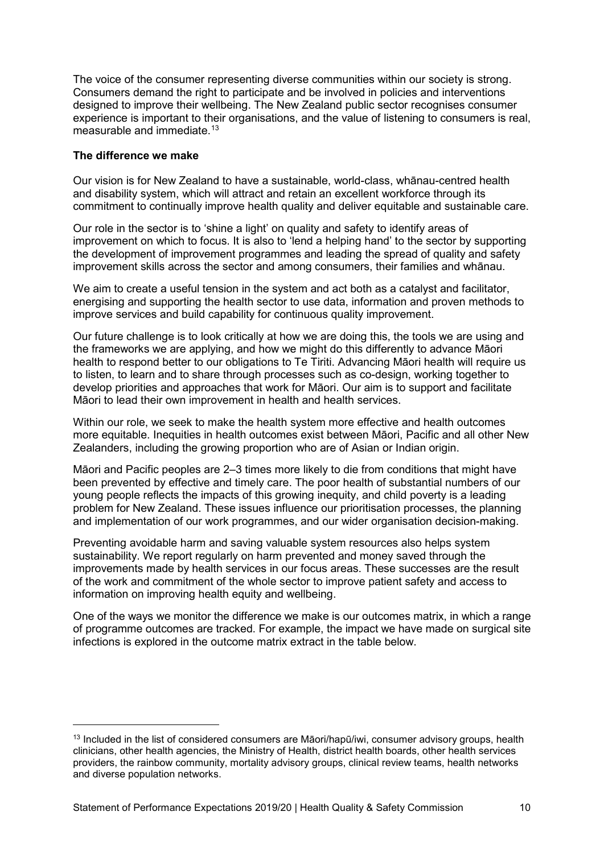The voice of the consumer representing diverse communities within our society is strong. Consumers demand the right to participate and be involved in policies and interventions designed to improve their wellbeing. The New Zealand public sector recognises consumer experience is important to their organisations, and the value of listening to consumers is real. measurable and immediate.<sup>[13](#page-9-1)</sup>

#### <span id="page-9-0"></span>**The difference we make**

-

Our vision is for New Zealand to have a sustainable, world-class, whānau-centred health and disability system, which will attract and retain an excellent workforce through its commitment to continually improve health quality and deliver equitable and sustainable care.

Our role in the sector is to 'shine a light' on quality and safety to identify areas of improvement on which to focus. It is also to 'lend a helping hand' to the sector by supporting the development of improvement programmes and leading the spread of quality and safety improvement skills across the sector and among consumers, their families and whānau.

We aim to create a useful tension in the system and act both as a catalyst and facilitator, energising and supporting the health sector to use data, information and proven methods to improve services and build capability for continuous quality improvement.

Our future challenge is to look critically at how we are doing this, the tools we are using and the frameworks we are applying, and how we might do this differently to advance Māori health to respond better to our obligations to Te Tiriti. Advancing Māori health will require us to listen, to learn and to share through processes such as co-design, working together to develop priorities and approaches that work for Māori. Our aim is to support and facilitate Māori to lead their own improvement in health and health services.

Within our role, we seek to make the health system more effective and health outcomes more equitable. Inequities in health outcomes exist between Māori, Pacific and all other New Zealanders, including the growing proportion who are of Asian or Indian origin.

Māori and Pacific peoples are 2–3 times more likely to die from conditions that might have been prevented by effective and timely care. The poor health of substantial numbers of our young people reflects the impacts of this growing inequity, and child poverty is a leading problem for New Zealand. These issues influence our prioritisation processes, the planning and implementation of our work programmes, and our wider organisation decision-making.

Preventing avoidable harm and saving valuable system resources also helps system sustainability. We report regularly on harm prevented and money saved through the improvements made by health services in our focus areas. These successes are the result of the work and commitment of the whole sector to improve patient safety and access to information on improving health equity and wellbeing.

One of the ways we monitor the difference we make is our outcomes matrix, in which a range of programme outcomes are tracked. For example, the impact we have made on surgical site infections is explored in the outcome matrix extract in the table below.

<span id="page-9-1"></span><sup>&</sup>lt;sup>13</sup> Included in the list of considered consumers are Māori/hapū/iwi, consumer advisory groups, health clinicians, other health agencies, the Ministry of Health, district health boards, other health services providers, the rainbow community, mortality advisory groups, clinical review teams, health networks and diverse population networks.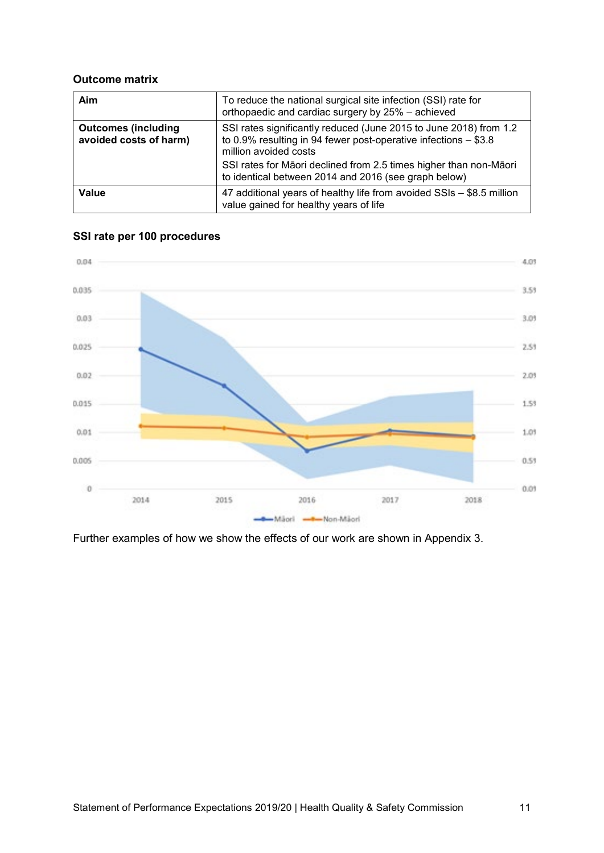#### **Outcome matrix**

| Aim                                                  | To reduce the national surgical site infection (SSI) rate for<br>orthopaedic and cardiac surgery by 25% - achieved                                              |
|------------------------------------------------------|-----------------------------------------------------------------------------------------------------------------------------------------------------------------|
| <b>Outcomes (including</b><br>avoided costs of harm) | SSI rates significantly reduced (June 2015 to June 2018) from 1.2<br>to 0.9% resulting in 94 fewer post-operative infections $-$ \$3.8<br>million avoided costs |
|                                                      | SSI rates for Māori declined from 2.5 times higher than non-Māori<br>to identical between 2014 and 2016 (see graph below)                                       |
| Value                                                | 47 additional years of healthy life from avoided SSIs - \$8.5 million<br>value gained for healthy years of life                                                 |





Further examples of how we show the effects of our work are shown in Appendix 3.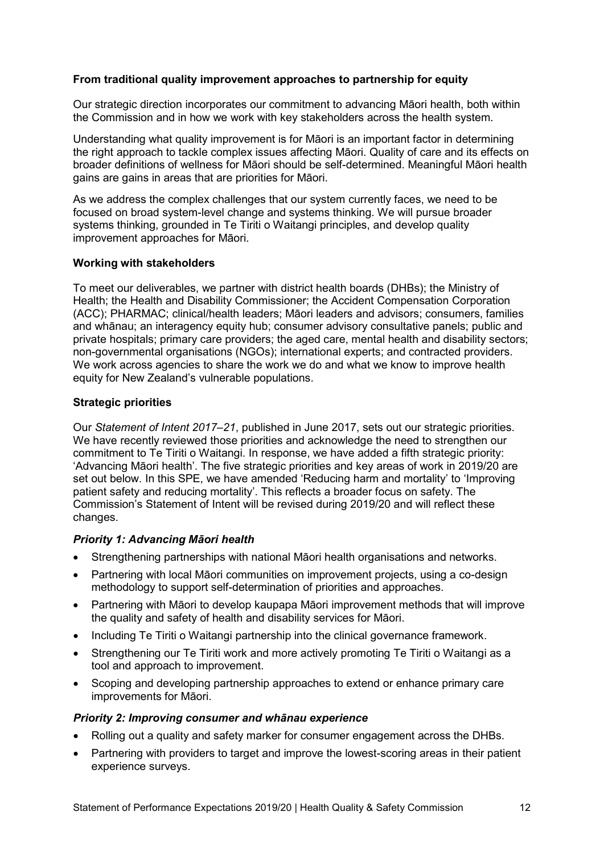# <span id="page-11-0"></span>**From traditional quality improvement approaches to partnership for equity**

Our strategic direction incorporates our commitment to advancing Māori health, both within the Commission and in how we work with key stakeholders across the health system.

Understanding what quality improvement is for Māori is an important factor in determining the right approach to tackle complex issues affecting Māori. Quality of care and its effects on broader definitions of wellness for Māori should be self-determined. Meaningful Māori health gains are gains in areas that are priorities for Māori.

As we address the complex challenges that our system currently faces, we need to be focused on broad system-level change and systems thinking. We will pursue broader systems thinking, grounded in Te Tiriti o Waitangi principles, and develop quality improvement approaches for Māori.

#### <span id="page-11-1"></span>**Working with stakeholders**

To meet our deliverables, we partner with district health boards (DHBs); the Ministry of Health; the Health and Disability Commissioner; the Accident Compensation Corporation (ACC); PHARMAC; clinical/health leaders; Māori leaders and advisors; consumers, families and whānau; an interagency equity hub; consumer advisory consultative panels; public and private hospitals; primary care providers; the aged care, mental health and disability sectors; non-governmental organisations (NGOs); international experts; and contracted providers. We work across agencies to share the work we do and what we know to improve health equity for New Zealand's vulnerable populations.

#### <span id="page-11-2"></span>**Strategic priorities**

Our *Statement of Intent 2017–21*, published in June 2017, sets out our strategic priorities. We have recently reviewed those priorities and acknowledge the need to strengthen our commitment to Te Tiriti o Waitangi. In response, we have added a fifth strategic priority: 'Advancing Māori health'. The five strategic priorities and key areas of work in 2019/20 are set out below. In this SPE, we have amended 'Reducing harm and mortality' to 'Improving patient safety and reducing mortality'. This reflects a broader focus on safety. The Commission's Statement of Intent will be revised during 2019/20 and will reflect these changes.

# *Priority 1: Advancing Māori health*

- Strengthening partnerships with national Māori health organisations and networks.
- Partnering with local Māori communities on improvement projects, using a co-design methodology to support self-determination of priorities and approaches.
- Partnering with Māori to develop kaupapa Māori improvement methods that will improve the quality and safety of health and disability services for Māori.
- Including Te Tiriti o Waitangi partnership into the clinical governance framework.
- Strengthening our Te Tiriti work and more actively promoting Te Tiriti o Waitangi as a tool and approach to improvement.
- Scoping and developing partnership approaches to extend or enhance primary care improvements for Māori.

#### *Priority 2: Improving consumer and whānau experience*

- Rolling out a quality and safety marker for consumer engagement across the DHBs.
- Partnering with providers to target and improve the lowest-scoring areas in their patient experience surveys.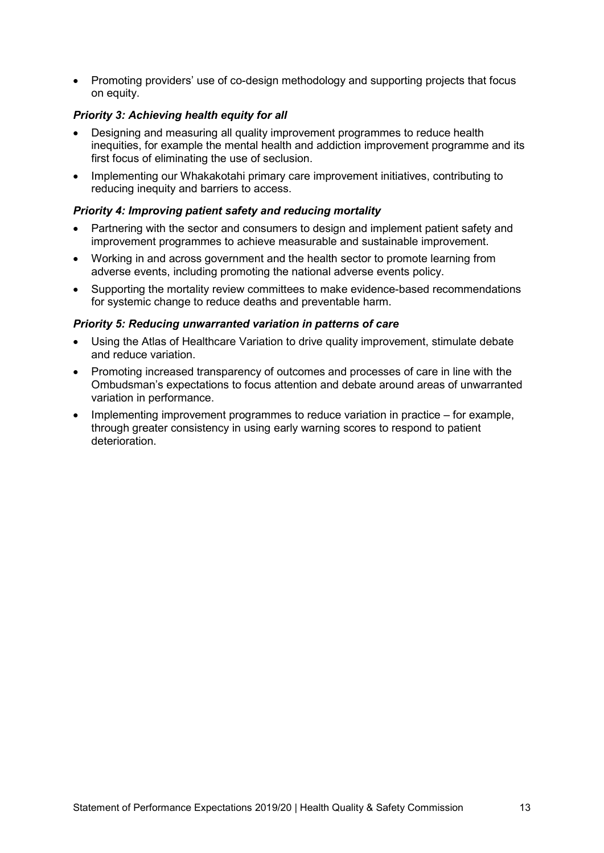• Promoting providers' use of co-design methodology and supporting projects that focus on equity.

# *Priority 3: Achieving health equity for all*

- Designing and measuring all quality improvement programmes to reduce health inequities, for example the mental health and addiction improvement programme and its first focus of eliminating the use of seclusion.
- Implementing our Whakakotahi primary care improvement initiatives, contributing to reducing inequity and barriers to access.

# *Priority 4: Improving patient safety and reducing mortality*

- Partnering with the sector and consumers to design and implement patient safety and improvement programmes to achieve measurable and sustainable improvement.
- Working in and across government and the health sector to promote learning from adverse events, including promoting the national adverse events policy.
- Supporting the mortality review committees to make evidence-based recommendations for systemic change to reduce deaths and preventable harm.

#### *Priority 5: Reducing unwarranted variation in patterns of care*

- Using the Atlas of Healthcare Variation to drive quality improvement, stimulate debate and reduce variation.
- Promoting increased transparency of outcomes and processes of care in line with the Ombudsman's expectations to focus attention and debate around areas of unwarranted variation in performance.
- Implementing improvement programmes to reduce variation in practice for example, through greater consistency in using early warning scores to respond to patient deterioration.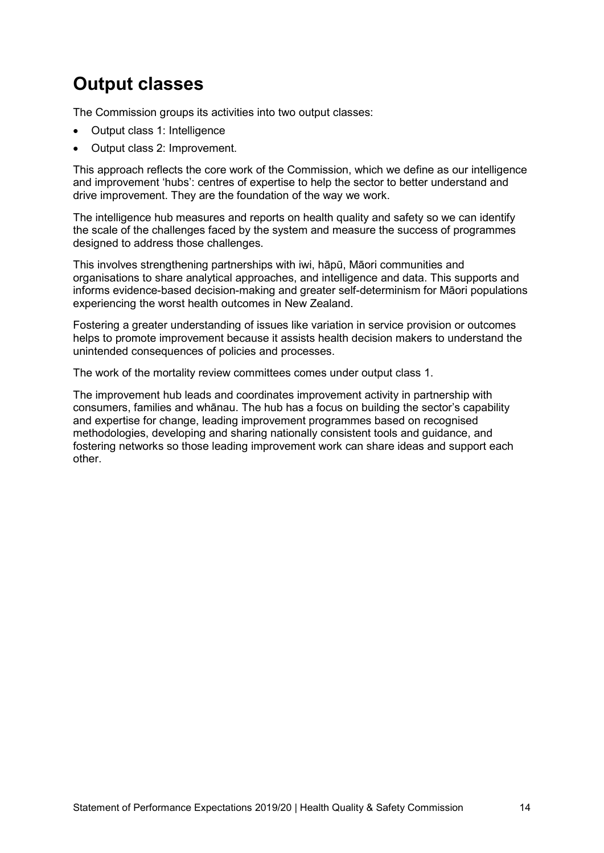# <span id="page-13-0"></span>**Output classes**

The Commission groups its activities into two output classes:

- Output class 1: Intelligence
- Output class 2: Improvement.

This approach reflects the core work of the Commission, which we define as our intelligence and improvement 'hubs': centres of expertise to help the sector to better understand and drive improvement. They are the foundation of the way we work.

The intelligence hub measures and reports on health quality and safety so we can identify the scale of the challenges faced by the system and measure the success of programmes designed to address those challenges.

This involves strengthening partnerships with iwi, hāpū, Māori communities and organisations to share analytical approaches, and intelligence and data. This supports and informs evidence-based decision-making and greater self-determinism for Māori populations experiencing the worst health outcomes in New Zealand.

Fostering a greater understanding of issues like variation in service provision or outcomes helps to promote improvement because it assists health decision makers to understand the unintended consequences of policies and processes.

The work of the mortality review committees comes under output class 1.

The improvement hub leads and coordinates improvement activity in partnership with consumers, families and whānau. The hub has a focus on building the sector's capability and expertise for change, leading improvement programmes based on recognised methodologies, developing and sharing nationally consistent tools and guidance, and fostering networks so those leading improvement work can share ideas and support each other.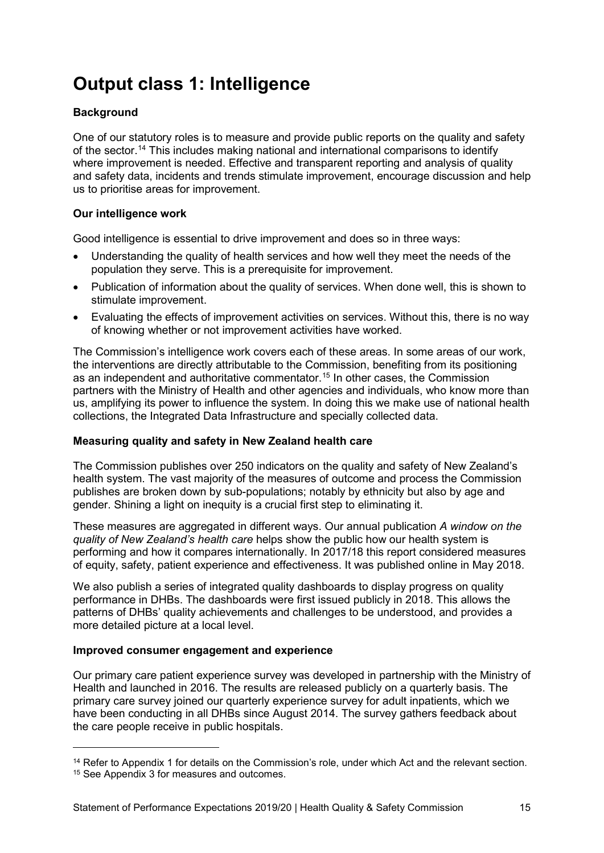# <span id="page-14-0"></span>**Output class 1: Intelligence**

# <span id="page-14-1"></span>**Background**

One of our statutory roles is to measure and provide public reports on the quality and safety of the sector. [14](#page-14-5) This includes making national and international comparisons to identify where improvement is needed. Effective and transparent reporting and analysis of quality and safety data, incidents and trends stimulate improvement, encourage discussion and help us to prioritise areas for improvement.

# <span id="page-14-2"></span>**Our intelligence work**

Good intelligence is essential to drive improvement and does so in three ways:

- Understanding the quality of health services and how well they meet the needs of the population they serve. This is a prerequisite for improvement.
- Publication of information about the quality of services. When done well, this is shown to stimulate improvement.
- Evaluating the effects of improvement activities on services. Without this, there is no way of knowing whether or not improvement activities have worked.

The Commission's intelligence work covers each of these areas. In some areas of our work, the interventions are directly attributable to the Commission, benefiting from its positioning as an independent and authoritative commentator. [15](#page-14-6) In other cases, the Commission partners with the Ministry of Health and other agencies and individuals, who know more than us, amplifying its power to influence the system. In doing this we make use of national health collections, the Integrated Data Infrastructure and specially collected data.

# <span id="page-14-3"></span>**Measuring quality and safety in New Zealand health care**

The Commission publishes over 250 indicators on the quality and safety of New Zealand's health system. The vast majority of the measures of outcome and process the Commission publishes are broken down by sub-populations; notably by ethnicity but also by age and gender. Shining a light on inequity is a crucial first step to eliminating it.

These measures are aggregated in different ways. Our annual publication *A window on the quality of New Zealand's health care* helps show the public how our health system is performing and how it compares internationally. In 2017/18 this report considered measures of equity, safety, patient experience and effectiveness. It was published online in May 2018.

We also publish a series of integrated quality dashboards to display progress on quality performance in DHBs. The dashboards were first issued publicly in 2018. This allows the patterns of DHBs' quality achievements and challenges to be understood, and provides a more detailed picture at a local level.

# <span id="page-14-4"></span>**Improved consumer engagement and experience**

Our primary care patient experience survey was developed in partnership with the Ministry of Health and launched in 2016. The results are released publicly on a quarterly basis. The primary care survey joined our quarterly experience survey for adult inpatients, which we have been conducting in all DHBs since August 2014. The survey gathers feedback about the care people receive in public hospitals.

-

<span id="page-14-5"></span><sup>&</sup>lt;sup>14</sup> Refer to Appendix 1 for details on the Commission's role, under which Act and the relevant section.

<span id="page-14-6"></span><sup>&</sup>lt;sup>15</sup> See Appendix 3 for measures and outcomes.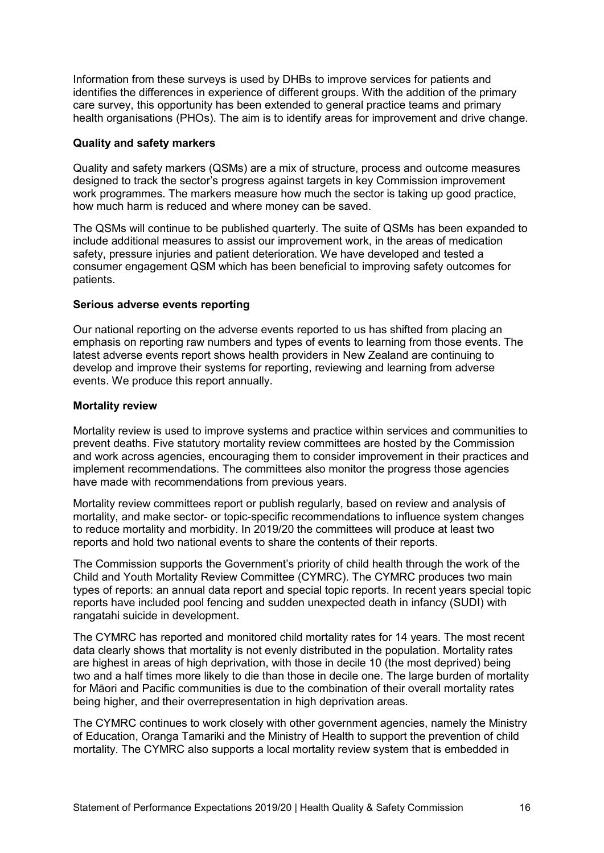Information from these surveys is used by DHBs to improve services for patients and identifies the differences in experience of different groups. With the addition of the primary care survey, this opportunity has been extended to general practice teams and primary health organisations (PHOs). The aim is to identify areas for improvement and drive change.

#### <span id="page-15-0"></span>**Quality and safety markers**

Quality and safety markers (QSMs) are a mix of structure, process and outcome measures designed to track the sector's progress against targets in key Commission improvement work programmes. The markers measure how much the sector is taking up good practice, how much harm is reduced and where money can be saved.

The QSMs will continue to be published quarterly. The suite of QSMs has been expanded to include additional measures to assist our improvement work, in the areas of medication safety, pressure injuries and patient deterioration. We have developed and tested a consumer engagement QSM which has been beneficial to improving safety outcomes for patients.

#### <span id="page-15-1"></span>**Serious adverse events reporting**

Our national reporting on the adverse events reported to us has shifted from placing an emphasis on reporting raw numbers and types of events to learning from those events. The latest adverse events report shows health providers in New Zealand are continuing to develop and improve their systems for reporting, reviewing and learning from adverse events. We produce this report annually.

#### <span id="page-15-2"></span>**Mortality review**

Mortality review is used to improve systems and practice within services and communities to prevent deaths. Five statutory mortality review committees are hosted by the Commission and work across agencies, encouraging them to consider improvement in their practices and implement recommendations. The committees also monitor the progress those agencies have made with recommendations from previous years.

Mortality review committees report or publish regularly, based on review and analysis of mortality, and make sector- or topic-specific recommendations to influence system changes to reduce mortality and morbidity. In 2019/20 the committees will produce at least two reports and hold two national events to share the contents of their reports.

The Commission supports the Government's priority of child health through the work of the Child and Youth Mortality Review Committee (CYMRC). The CYMRC produces two main types of reports: an annual data report and special topic reports. In recent years special topic reports have included pool fencing and sudden unexpected death in infancy (SUDI) with rangatahi suicide in development.

The CYMRC has reported and monitored child mortality rates for 14 years. The most recent data clearly shows that mortality is not evenly distributed in the population. Mortality rates are highest in areas of high deprivation, with those in decile 10 (the most deprived) being two and a half times more likely to die than those in decile one. The large burden of mortality for Māori and Pacific communities is due to the combination of their overall mortality rates being higher, and their overrepresentation in high deprivation areas.

The CYMRC continues to work closely with other government agencies, namely the Ministry of Education, Oranga Tamariki and the Ministry of Health to support the prevention of child mortality. The CYMRC also supports a local mortality review system that is embedded in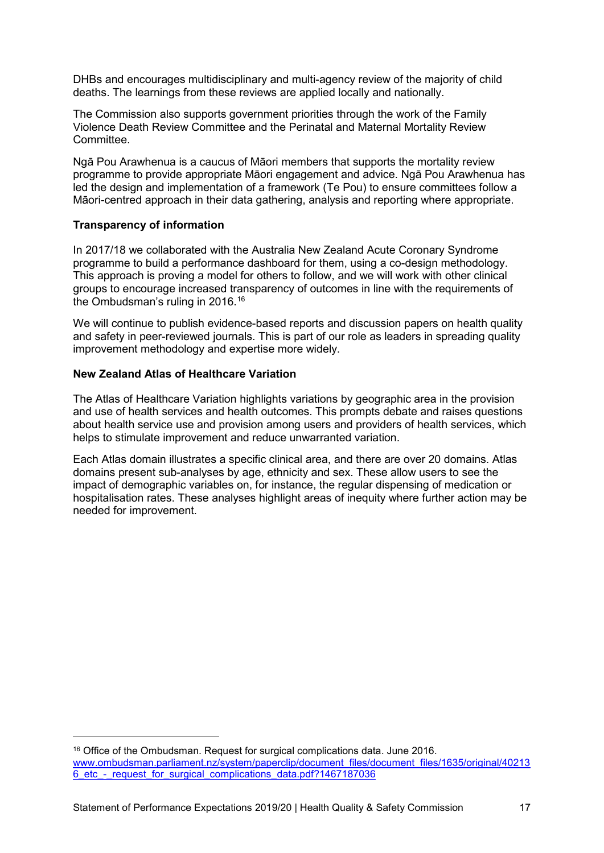DHBs and encourages multidisciplinary and multi-agency review of the majority of child deaths. The learnings from these reviews are applied locally and nationally.

The Commission also supports government priorities through the work of the Family Violence Death Review Committee and the Perinatal and Maternal Mortality Review Committee.

Ngā Pou Arawhenua is a caucus of Māori members that supports the mortality review programme to provide appropriate Māori engagement and advice. Ngā Pou Arawhenua has led the design and implementation of a framework (Te Pou) to ensure committees follow a Māori-centred approach in their data gathering, analysis and reporting where appropriate.

#### <span id="page-16-0"></span>**Transparency of information**

-

In 2017/18 we collaborated with the Australia New Zealand Acute Coronary Syndrome programme to build a performance dashboard for them, using a co-design methodology. This approach is proving a model for others to follow, and we will work with other clinical groups to encourage increased transparency of outcomes in line with the requirements of the Ombudsman's ruling in 2016. [16](#page-16-2)

We will continue to publish evidence-based reports and discussion papers on health quality and safety in peer-reviewed journals. This is part of our role as leaders in spreading quality improvement methodology and expertise more widely.

# <span id="page-16-1"></span>**New Zealand Atlas of Healthcare Variation**

The Atlas of Healthcare Variation highlights variations by geographic area in the provision and use of health services and health outcomes. This prompts debate and raises questions about health service use and provision among users and providers of health services, which helps to stimulate improvement and reduce unwarranted variation.

Each Atlas domain illustrates a specific clinical area, and there are over 20 domains. Atlas domains present sub-analyses by age, ethnicity and sex. These allow users to see the impact of demographic variables on, for instance, the regular dispensing of medication or hospitalisation rates. These analyses highlight areas of inequity where further action may be needed for improvement.

<span id="page-16-2"></span><sup>16</sup> Office of the Ombudsman. Request for surgical complications data. June 2016. [www.ombudsman.parliament.nz/system/paperclip/document\\_files/document\\_files/1635/original/40213](http://www.ombudsman.parliament.nz/system/paperclip/document_files/document_files/1635/original/402136_etc_-_request_for_surgical_complications_data.pdf?1467187036) [6\\_etc\\_-\\_request\\_for\\_surgical\\_complications\\_data.pdf?1467187036](http://www.ombudsman.parliament.nz/system/paperclip/document_files/document_files/1635/original/402136_etc_-_request_for_surgical_complications_data.pdf?1467187036)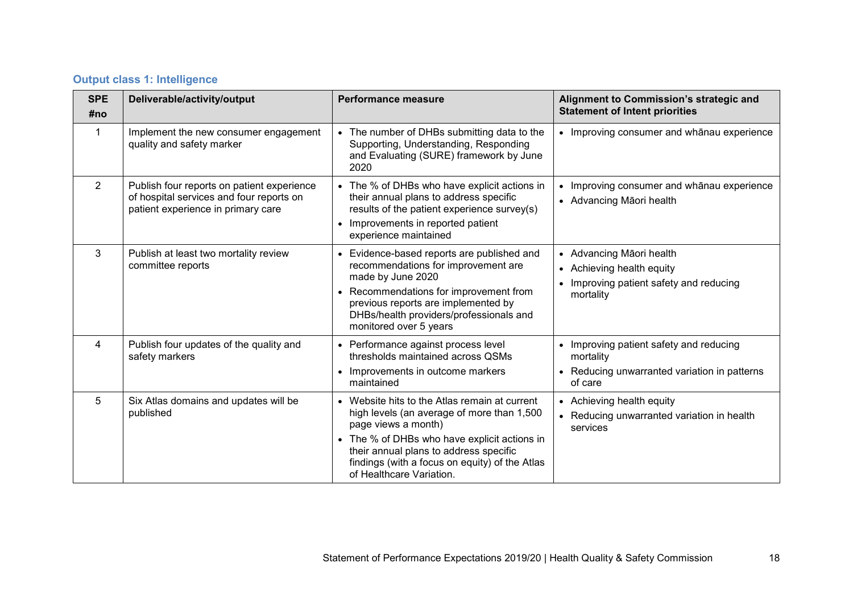|  |  |  |  | <b>Output class 1: Intelligence</b> |
|--|--|--|--|-------------------------------------|
|--|--|--|--|-------------------------------------|

| <b>SPE</b><br>#no | Deliverable/activity/output                                                                                                  | <b>Performance measure</b>                                                                                                                                                                                                                                                               | Alignment to Commission's strategic and<br><b>Statement of Intent priorities</b>                                |
|-------------------|------------------------------------------------------------------------------------------------------------------------------|------------------------------------------------------------------------------------------------------------------------------------------------------------------------------------------------------------------------------------------------------------------------------------------|-----------------------------------------------------------------------------------------------------------------|
| 1                 | Implement the new consumer engagement<br>quality and safety marker                                                           | The number of DHBs submitting data to the<br>Supporting, Understanding, Responding<br>and Evaluating (SURE) framework by June<br>2020                                                                                                                                                    | • Improving consumer and whanau experience                                                                      |
| 2                 | Publish four reports on patient experience<br>of hospital services and four reports on<br>patient experience in primary care | • The % of DHBs who have explicit actions in<br>their annual plans to address specific<br>results of the patient experience survey(s)<br>Improvements in reported patient<br>experience maintained                                                                                       | • Improving consumer and whanau experience<br>• Advancing Māori health                                          |
| 3                 | Publish at least two mortality review<br>committee reports                                                                   | Evidence-based reports are published and<br>recommendations for improvement are<br>made by June 2020<br>Recommendations for improvement from<br>previous reports are implemented by<br>DHBs/health providers/professionals and<br>monitored over 5 years                                 | • Advancing Māori health<br>• Achieving health equity<br>• Improving patient safety and reducing<br>mortality   |
| 4                 | Publish four updates of the quality and<br>safety markers                                                                    | Performance against process level<br>thresholds maintained across QSMs<br>Improvements in outcome markers<br>maintained                                                                                                                                                                  | • Improving patient safety and reducing<br>mortality<br>• Reducing unwarranted variation in patterns<br>of care |
| 5                 | Six Atlas domains and updates will be<br>published                                                                           | • Website hits to the Atlas remain at current<br>high levels (an average of more than 1,500<br>page views a month)<br>The % of DHBs who have explicit actions in<br>their annual plans to address specific<br>findings (with a focus on equity) of the Atlas<br>of Healthcare Variation. | • Achieving health equity<br>• Reducing unwarranted variation in health<br>services                             |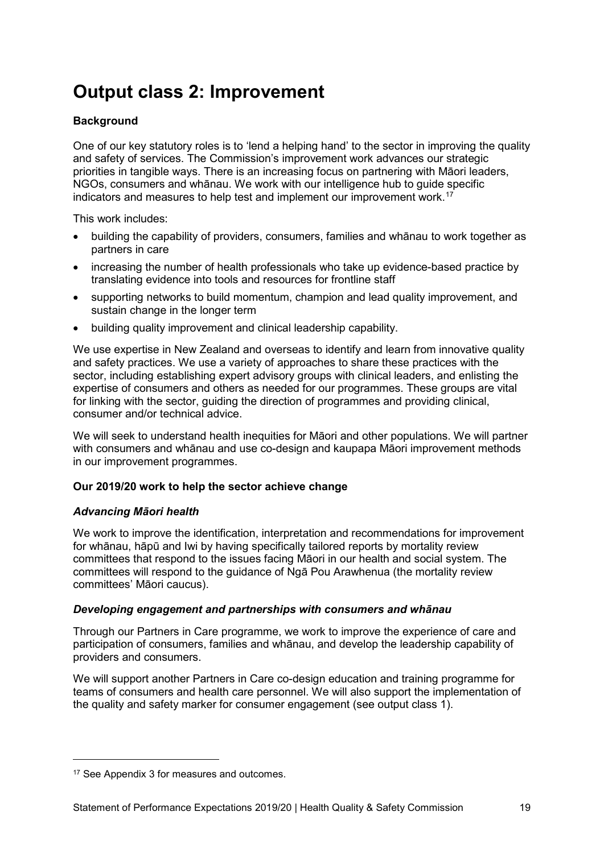# <span id="page-18-0"></span>**Output class 2: Improvement**

# <span id="page-18-1"></span>**Background**

One of our key statutory roles is to 'lend a helping hand' to the sector in improving the quality and safety of services. The Commission's improvement work advances our strategic priorities in tangible ways. There is an increasing focus on partnering with Māori leaders, NGOs, consumers and whānau. We work with our intelligence hub to guide specific indicators and measures to help test and implement our improvement work. [17](#page-18-5)

This work includes:

- building the capability of providers, consumers, families and whānau to work together as partners in care
- increasing the number of health professionals who take up evidence-based practice by translating evidence into tools and resources for frontline staff
- supporting networks to build momentum, champion and lead quality improvement, and sustain change in the longer term
- building quality improvement and clinical leadership capability.

We use expertise in New Zealand and overseas to identify and learn from innovative quality and safety practices. We use a variety of approaches to share these practices with the sector, including establishing expert advisory groups with clinical leaders, and enlisting the expertise of consumers and others as needed for our programmes. These groups are vital for linking with the sector, guiding the direction of programmes and providing clinical, consumer and/or technical advice.

We will seek to understand health inequities for Māori and other populations. We will partner with consumers and whānau and use co-design and kaupapa Māori improvement methods in our improvement programmes.

# <span id="page-18-2"></span>**Our 2019/20 work to help the sector achieve change**

# <span id="page-18-3"></span>*Advancing Māori health*

We work to improve the identification, interpretation and recommendations for improvement for whānau, hāpū and Iwi by having specifically tailored reports by mortality review committees that respond to the issues facing Māori in our health and social system. The committees will respond to the guidance of Ngā Pou Arawhenua (the mortality review committees' Māori caucus).

# <span id="page-18-4"></span>*Developing engagement and partnerships with consumers and whānau*

Through our Partners in Care programme, we work to improve the experience of care and participation of consumers, families and whānau, and develop the leadership capability of providers and consumers.

We will support another Partners in Care co-design education and training programme for teams of consumers and health care personnel. We will also support the implementation of the quality and safety marker for consumer engagement (see output class 1).

-

<span id="page-18-5"></span><sup>&</sup>lt;sup>17</sup> See Appendix 3 for measures and outcomes.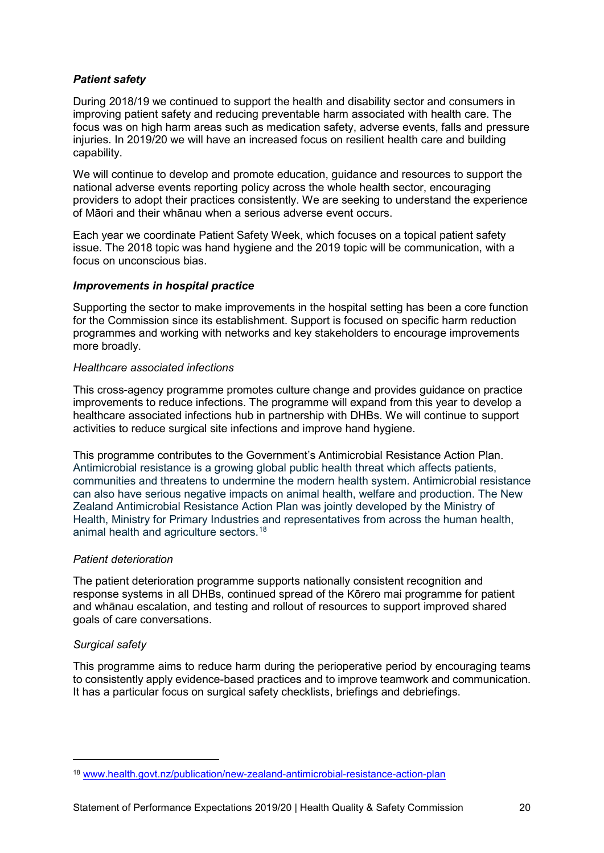# <span id="page-19-0"></span>*Patient safety*

During 2018/19 we continued to support the health and disability sector and consumers in improving patient safety and reducing preventable harm associated with health care. The focus was on high harm areas such as medication safety, adverse events, falls and pressure injuries. In 2019/20 we will have an increased focus on resilient health care and building capability.

We will continue to develop and promote education, guidance and resources to support the national adverse events reporting policy across the whole health sector, encouraging providers to adopt their practices consistently. We are seeking to understand the experience of Māori and their whānau when a serious adverse event occurs.

Each year we coordinate Patient Safety Week, which focuses on a topical patient safety issue. The 2018 topic was hand hygiene and the 2019 topic will be communication, with a focus on unconscious bias.

#### <span id="page-19-1"></span>*Improvements in hospital practice*

Supporting the sector to make improvements in the hospital setting has been a core function for the Commission since its establishment. Support is focused on specific harm reduction programmes and working with networks and key stakeholders to encourage improvements more broadly.

#### *Healthcare associated infections*

This cross-agency programme promotes culture change and provides guidance on practice improvements to reduce infections. The programme will expand from this year to develop a healthcare associated infections hub in partnership with DHBs. We will continue to support activities to reduce surgical site infections and improve hand hygiene.

This programme contributes to the Government's Antimicrobial Resistance Action Plan. Antimicrobial resistance is a growing global public health threat which affects patients, communities and threatens to undermine the modern health system. Antimicrobial resistance can also have serious negative impacts on animal health, welfare and production. The New Zealand Antimicrobial Resistance Action Plan was jointly developed by the Ministry of Health, Ministry for Primary Industries and representatives from across the human health, animal health and agriculture sectors. [18](#page-19-2)

#### *Patient deterioration*

The patient deterioration programme supports nationally consistent recognition and response systems in all DHBs, continued spread of the Kōrero mai programme for patient and whānau escalation, and testing and rollout of resources to support improved shared goals of care conversations.

# *Surgical safety*

-

This programme aims to reduce harm during the perioperative period by encouraging teams to consistently apply evidence-based practices and to improve teamwork and communication. It has a particular focus on surgical safety checklists, briefings and debriefings.

<span id="page-19-2"></span><sup>18</sup> [www.health.govt.nz/publication/new-zealand-antimicrobial-resistance-action-plan](http://www.health.govt.nz/publication/new-zealand-antimicrobial-resistance-action-plan)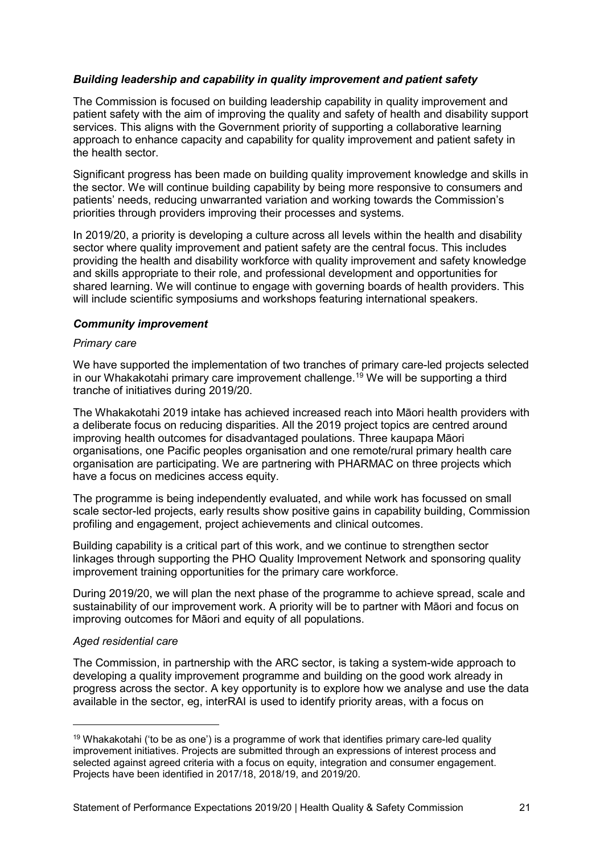# <span id="page-20-0"></span>*Building leadership and capability in quality improvement and patient safety*

The Commission is focused on building leadership capability in quality improvement and patient safety with the aim of improving the quality and safety of health and disability support services. This aligns with the Government priority of supporting a collaborative learning approach to enhance capacity and capability for quality improvement and patient safety in the health sector.

Significant progress has been made on building quality improvement knowledge and skills in the sector. We will continue building capability by being more responsive to consumers and patients' needs, reducing unwarranted variation and working towards the Commission's priorities through providers improving their processes and systems.

In 2019/20, a priority is developing a culture across all levels within the health and disability sector where quality improvement and patient safety are the central focus. This includes providing the health and disability workforce with quality improvement and safety knowledge and skills appropriate to their role, and professional development and opportunities for shared learning. We will continue to engage with governing boards of health providers. This will include scientific symposiums and workshops featuring international speakers.

#### <span id="page-20-1"></span>*Community improvement*

#### *Primary care*

We have supported the implementation of two tranches of primary care-led projects selected in our Whakakotahi primary care improvement challenge. [19](#page-20-2) We will be supporting a third tranche of initiatives during 2019/20.

The Whakakotahi 2019 intake has achieved increased reach into Māori health providers with a deliberate focus on reducing disparities. All the 2019 project topics are centred around improving health outcomes for disadvantaged poulations. Three kaupapa Māori organisations, one Pacific peoples organisation and one remote/rural primary health care organisation are participating. We are partnering with PHARMAC on three projects which have a focus on medicines access equity.

The programme is being independently evaluated, and while work has focussed on small scale sector-led projects, early results show positive gains in capability building, Commission profiling and engagement, project achievements and clinical outcomes.

Building capability is a critical part of this work, and we continue to strengthen sector linkages through supporting the PHO Quality Improvement Network and sponsoring quality improvement training opportunities for the primary care workforce.

During 2019/20, we will plan the next phase of the programme to achieve spread, scale and sustainability of our improvement work. A priority will be to partner with Māori and focus on improving outcomes for Māori and equity of all populations.

# *Aged residential care*

-

The Commission, in partnership with the ARC sector, is taking a system-wide approach to developing a quality improvement programme and building on the good work already in progress across the sector. A key opportunity is to explore how we analyse and use the data available in the sector, eg, interRAI is used to identify priority areas, with a focus on

<span id="page-20-2"></span> $19$  Whakakotahi ('to be as one') is a programme of work that identifies primary care-led quality improvement initiatives. Projects are submitted through an expressions of interest process and selected against agreed criteria with a focus on equity, integration and consumer engagement. Projects have been identified in 2017/18, 2018/19, and 2019/20.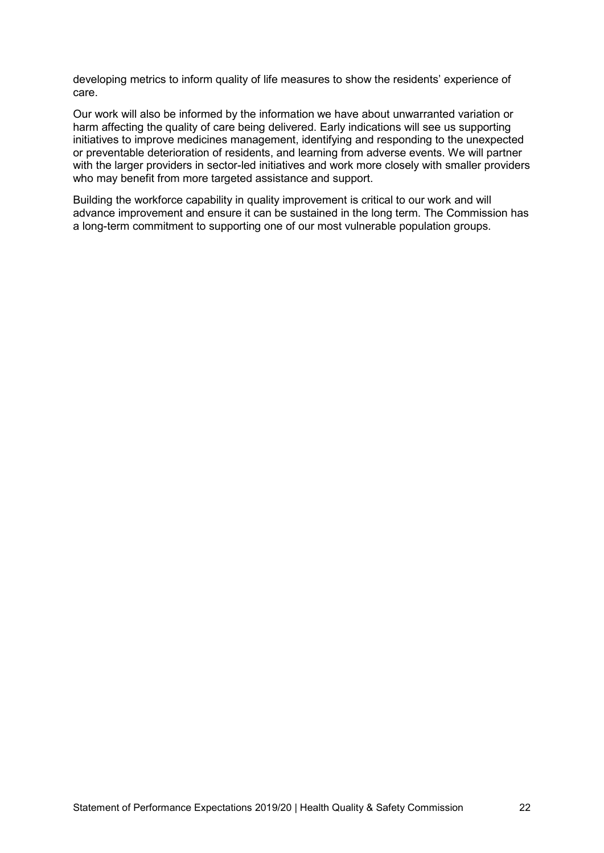developing metrics to inform quality of life measures to show the residents' experience of care.

Our work will also be informed by the information we have about unwarranted variation or harm affecting the quality of care being delivered. Early indications will see us supporting initiatives to improve medicines management, identifying and responding to the unexpected or preventable deterioration of residents, and learning from adverse events. We will partner with the larger providers in sector-led initiatives and work more closely with smaller providers who may benefit from more targeted assistance and support.

Building the workforce capability in quality improvement is critical to our work and will advance improvement and ensure it can be sustained in the long term. The Commission has a long-term commitment to supporting one of our most vulnerable population groups.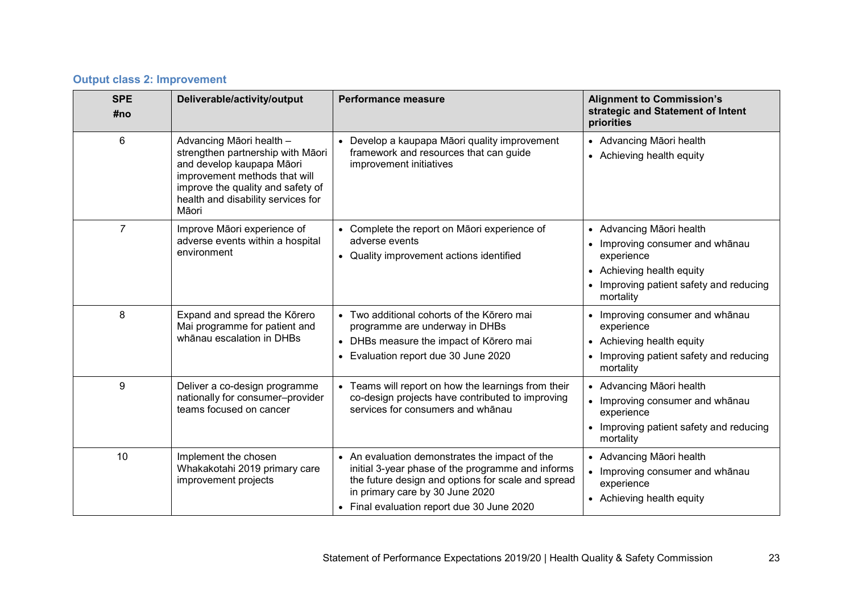# **Output class 2: Improvement**

| <b>SPE</b><br>#no | Deliverable/activity/output                                                                                                                                                                                     | <b>Performance measure</b>                                                                                                                                                                                                                 | <b>Alignment to Commission's</b><br>strategic and Statement of Intent<br>priorities                                                                                     |
|-------------------|-----------------------------------------------------------------------------------------------------------------------------------------------------------------------------------------------------------------|--------------------------------------------------------------------------------------------------------------------------------------------------------------------------------------------------------------------------------------------|-------------------------------------------------------------------------------------------------------------------------------------------------------------------------|
| $6\phantom{1}$    | Advancing Māori health -<br>strengthen partnership with Māori<br>and develop kaupapa Māori<br>improvement methods that will<br>improve the quality and safety of<br>health and disability services for<br>Māori | • Develop a kaupapa Māori quality improvement<br>framework and resources that can guide<br>improvement initiatives                                                                                                                         | • Advancing Māori health<br>• Achieving health equity                                                                                                                   |
| $\overline{7}$    | Improve Māori experience of<br>adverse events within a hospital<br>environment                                                                                                                                  | Complete the report on Māori experience of<br>adverse events<br>• Quality improvement actions identified                                                                                                                                   | • Advancing Māori health<br>Improving consumer and whānau<br>experience<br>• Achieving health equity<br>Improving patient safety and reducing<br>$\bullet$<br>mortality |
| 8                 | Expand and spread the Körero<br>Mai programme for patient and<br>whānau escalation in DHBs                                                                                                                      | Two additional cohorts of the Kōrero mai<br>programme are underway in DHBs<br>DHBs measure the impact of Kōrero mai<br>Evaluation report due 30 June 2020                                                                                  | • Improving consumer and whānau<br>experience<br>• Achieving health equity<br>Improving patient safety and reducing<br>mortality                                        |
| 9                 | Deliver a co-design programme<br>nationally for consumer-provider<br>teams focused on cancer                                                                                                                    | • Teams will report on how the learnings from their<br>co-design projects have contributed to improving<br>services for consumers and whanau                                                                                               | • Advancing Māori health<br>• Improving consumer and whānau<br>experience<br>Improving patient safety and reducing<br>$\bullet$<br>mortality                            |
| 10                | Implement the chosen<br>Whakakotahi 2019 primary care<br>improvement projects                                                                                                                                   | • An evaluation demonstrates the impact of the<br>initial 3-year phase of the programme and informs<br>the future design and options for scale and spread<br>in primary care by 30 June 2020<br>• Final evaluation report due 30 June 2020 | • Advancing Māori health<br>• Improving consumer and whānau<br>experience<br>• Achieving health equity                                                                  |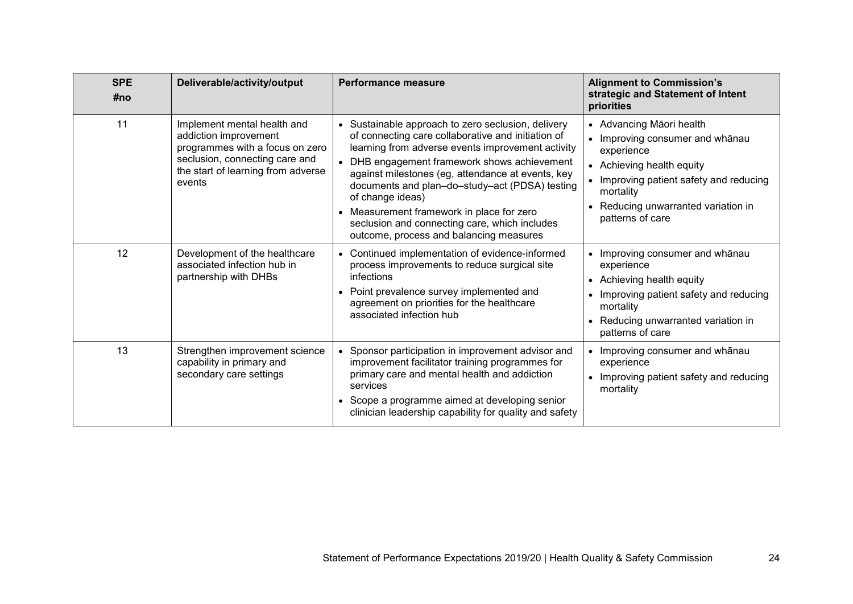| <b>SPE</b><br>#no | Deliverable/activity/output                                                                                                                                               | <b>Performance measure</b>                                                                                                                                                                                                                                                                                                                                                                                                                                                      | <b>Alignment to Commission's</b><br>strategic and Statement of Intent<br>priorities                                                                                                                                       |
|-------------------|---------------------------------------------------------------------------------------------------------------------------------------------------------------------------|---------------------------------------------------------------------------------------------------------------------------------------------------------------------------------------------------------------------------------------------------------------------------------------------------------------------------------------------------------------------------------------------------------------------------------------------------------------------------------|---------------------------------------------------------------------------------------------------------------------------------------------------------------------------------------------------------------------------|
| 11                | Implement mental health and<br>addiction improvement<br>programmes with a focus on zero<br>seclusion, connecting care and<br>the start of learning from adverse<br>events | • Sustainable approach to zero seclusion, delivery<br>of connecting care collaborative and initiation of<br>learning from adverse events improvement activity<br>• DHB engagement framework shows achievement<br>against milestones (eg, attendance at events, key<br>documents and plan-do-study-act (PDSA) testing<br>of change ideas)<br>Measurement framework in place for zero<br>seclusion and connecting care, which includes<br>outcome, process and balancing measures | • Advancing Māori health<br>• Improving consumer and whānau<br>experience<br>• Achieving health equity<br>• Improving patient safety and reducing<br>mortality<br>• Reducing unwarranted variation in<br>patterns of care |
| 12                | Development of the healthcare<br>associated infection hub in<br>partnership with DHBs                                                                                     | • Continued implementation of evidence-informed<br>process improvements to reduce surgical site<br>infections<br>Point prevalence survey implemented and<br>agreement on priorities for the healthcare<br>associated infection hub                                                                                                                                                                                                                                              | • Improving consumer and whanau<br>experience<br>• Achieving health equity<br>• Improving patient safety and reducing<br>mortality<br>• Reducing unwarranted variation in<br>patterns of care                             |
| 13                | Strengthen improvement science<br>capability in primary and<br>secondary care settings                                                                                    | Sponsor participation in improvement advisor and<br>improvement facilitator training programmes for<br>primary care and mental health and addiction<br>services<br>Scope a programme aimed at developing senior<br>clinician leadership capability for quality and safety                                                                                                                                                                                                       | • Improving consumer and whānau<br>experience<br>• Improving patient safety and reducing<br>mortality                                                                                                                     |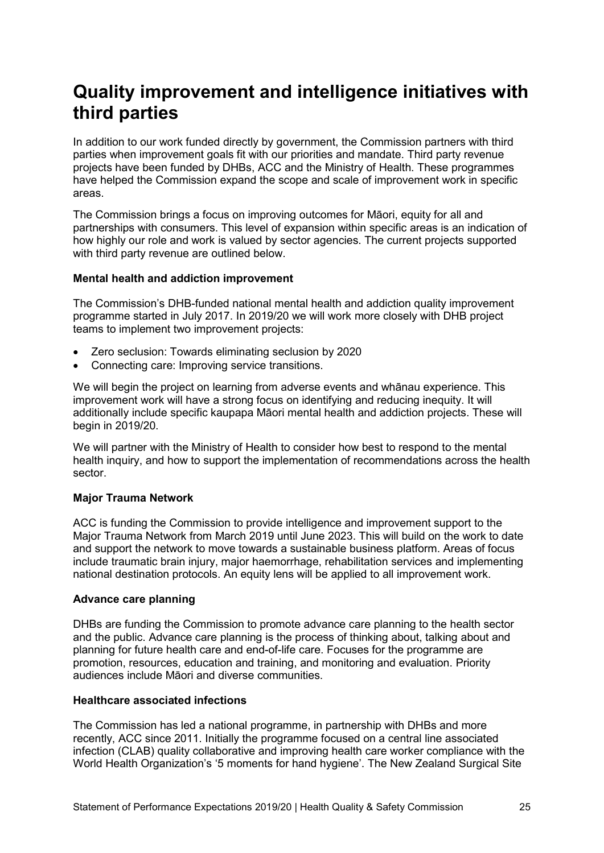# <span id="page-24-0"></span>**Quality improvement and intelligence initiatives with third parties**

In addition to our work funded directly by government, the Commission partners with third parties when improvement goals fit with our priorities and mandate. Third party revenue projects have been funded by DHBs, ACC and the Ministry of Health. These programmes have helped the Commission expand the scope and scale of improvement work in specific areas.

The Commission brings a focus on improving outcomes for Māori, equity for all and partnerships with consumers. This level of expansion within specific areas is an indication of how highly our role and work is valued by sector agencies. The current projects supported with third party revenue are outlined below.

# <span id="page-24-1"></span>**Mental health and addiction improvement**

The Commission's DHB-funded national mental health and addiction quality improvement programme started in July 2017. In 2019/20 we will work more closely with DHB project teams to implement two improvement projects:

- Zero seclusion: Towards eliminating seclusion by 2020
- Connecting care: Improving service transitions.

We will begin the project on learning from adverse events and whānau experience. This improvement work will have a strong focus on identifying and reducing inequity. It will additionally include specific kaupapa Māori mental health and addiction projects. These will begin in 2019/20.

We will partner with the Ministry of Health to consider how best to respond to the mental health inquiry, and how to support the implementation of recommendations across the health sector.

# <span id="page-24-2"></span>**Major Trauma Network**

ACC is funding the Commission to provide intelligence and improvement support to the Major Trauma Network from March 2019 until June 2023. This will build on the work to date and support the network to move towards a sustainable business platform. Areas of focus include traumatic brain injury, major haemorrhage, rehabilitation services and implementing national destination protocols. An equity lens will be applied to all improvement work.

#### <span id="page-24-3"></span>**Advance care planning**

DHBs are funding the Commission to promote advance care planning to the health sector and the public. Advance care planning is the process of thinking about, talking about and planning for future health care and end-of-life care. Focuses for the programme are promotion, resources, education and training, and monitoring and evaluation. Priority audiences include Māori and diverse communities.

#### <span id="page-24-4"></span>**Healthcare associated infections**

The Commission has led a national programme, in partnership with DHBs and more recently, ACC since 2011. Initially the programme focused on a central line associated infection (CLAB) quality collaborative and improving health care worker compliance with the World Health Organization's '5 moments for hand hygiene'. The New Zealand Surgical Site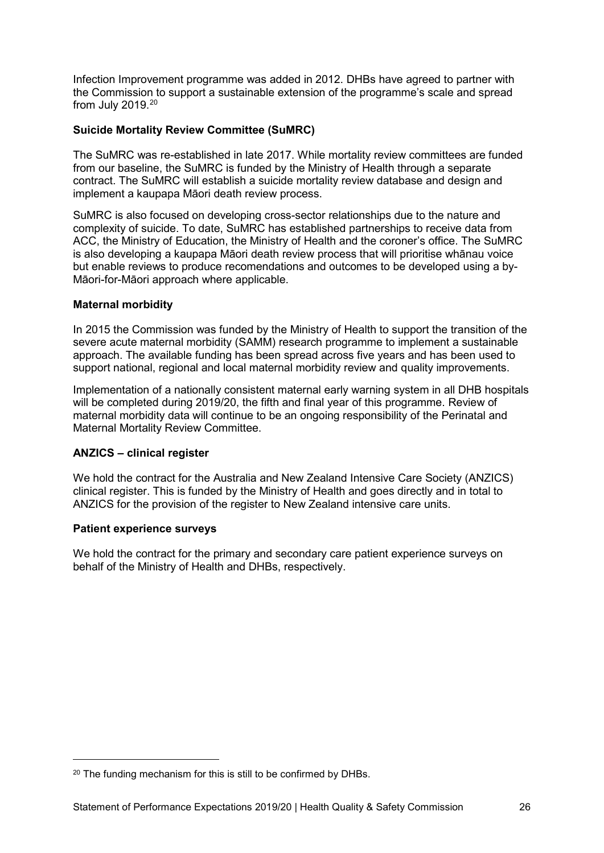Infection Improvement programme was added in 2012. DHBs have agreed to partner with the Commission to support a sustainable extension of the programme's scale and spread from July 2019.[20](#page-25-4)

# <span id="page-25-0"></span>**Suicide Mortality Review Committee (SuMRC)**

The SuMRC was re-established in late 2017. While mortality review committees are funded from our baseline, the SuMRC is funded by the Ministry of Health through a separate contract. The SuMRC will establish a suicide mortality review database and design and implement a kaupapa Māori death review process.

SuMRC is also focused on developing cross-sector relationships due to the nature and complexity of suicide. To date, SuMRC has established partnerships to receive data from ACC, the Ministry of Education, the Ministry of Health and the coroner's office. The SuMRC is also developing a kaupapa Māori death review process that will prioritise whānau voice but enable reviews to produce recomendations and outcomes to be developed using a by-Māori-for-Māori approach where applicable.

# <span id="page-25-1"></span>**Maternal morbidity**

In 2015 the Commission was funded by the Ministry of Health to support the transition of the severe acute maternal morbidity (SAMM) research programme to implement a sustainable approach. The available funding has been spread across five years and has been used to support national, regional and local maternal morbidity review and quality improvements.

Implementation of a nationally consistent maternal early warning system in all DHB hospitals will be completed during 2019/20, the fifth and final year of this programme. Review of maternal morbidity data will continue to be an ongoing responsibility of the Perinatal and Maternal Mortality Review Committee.

# <span id="page-25-2"></span>**ANZICS – clinical register**

We hold the contract for the Australia and New Zealand Intensive Care Society (ANZICS) clinical register. This is funded by the Ministry of Health and goes directly and in total to ANZICS for the provision of the register to New Zealand intensive care units.

#### <span id="page-25-3"></span>**Patient experience surveys**

-

We hold the contract for the primary and secondary care patient experience surveys on behalf of the Ministry of Health and DHBs, respectively.

<span id="page-25-4"></span><sup>&</sup>lt;sup>20</sup> The funding mechanism for this is still to be confirmed by DHBs.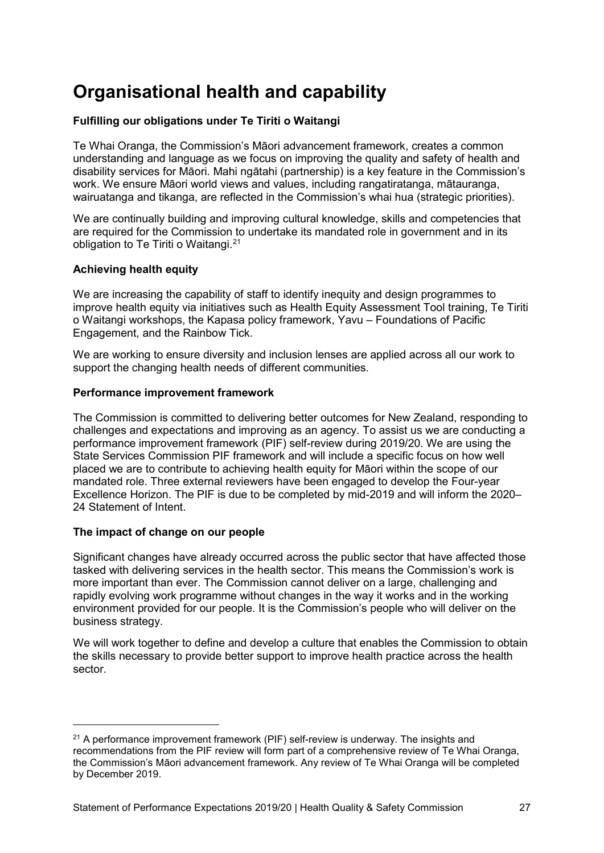# <span id="page-26-0"></span>**Organisational health and capability**

# <span id="page-26-1"></span>**Fulfilling our obligations under Te Tiriti o Waitangi**

Te Whai Oranga, the Commission's Māori advancement framework, creates a common understanding and language as we focus on improving the quality and safety of health and disability services for Māori. Mahi ngātahi (partnership) is a key feature in the Commission's work. We ensure Māori world views and values, including rangatiratanga, mātauranga, wairuatanga and tikanga, are reflected in the Commission's whai hua (strategic priorities).

We are continually building and improving cultural knowledge, skills and competencies that are required for the Commission to undertake its mandated role in government and in its obligation to Te Tiriti o Waitangi.<sup>[21](#page-26-5)</sup>

# <span id="page-26-2"></span>**Achieving health equity**

We are increasing the capability of staff to identify inequity and design programmes to improve health equity via initiatives such as Health Equity Assessment Tool training, Te Tiriti o Waitangi workshops, the Kapasa policy framework, Yavu – Foundations of Pacific Engagement, and the Rainbow Tick.

We are working to ensure diversity and inclusion lenses are applied across all our work to support the changing health needs of different communities.

#### <span id="page-26-3"></span>**Performance improvement framework**

The Commission is committed to delivering better outcomes for New Zealand, responding to challenges and expectations and improving as an agency. To assist us we are conducting a performance improvement framework (PIF) self-review during 2019/20. We are using the State Services Commission PIF framework and will include a specific focus on how well placed we are to contribute to achieving health equity for Māori within the scope of our mandated role. Three external reviewers have been engaged to develop the Four-year Excellence Horizon. The PIF is due to be completed by mid-2019 and will inform the 2020– 24 Statement of Intent.

# <span id="page-26-4"></span>**The impact of change on our people**

-

Significant changes have already occurred across the public sector that have affected those tasked with delivering services in the health sector. This means the Commission's work is more important than ever. The Commission cannot deliver on a large, challenging and rapidly evolving work programme without changes in the way it works and in the working environment provided for our people. It is the Commission's people who will deliver on the business strategy.

We will work together to define and develop a culture that enables the Commission to obtain the skills necessary to provide better support to improve health practice across the health sector.

<span id="page-26-5"></span><sup>&</sup>lt;sup>21</sup> A performance improvement framework (PIF) self-review is underway. The insights and recommendations from the PIF review will form part of a comprehensive review of Te Whai Oranga, the Commission's Māori advancement framework. Any review of Te Whai Oranga will be completed by December 2019.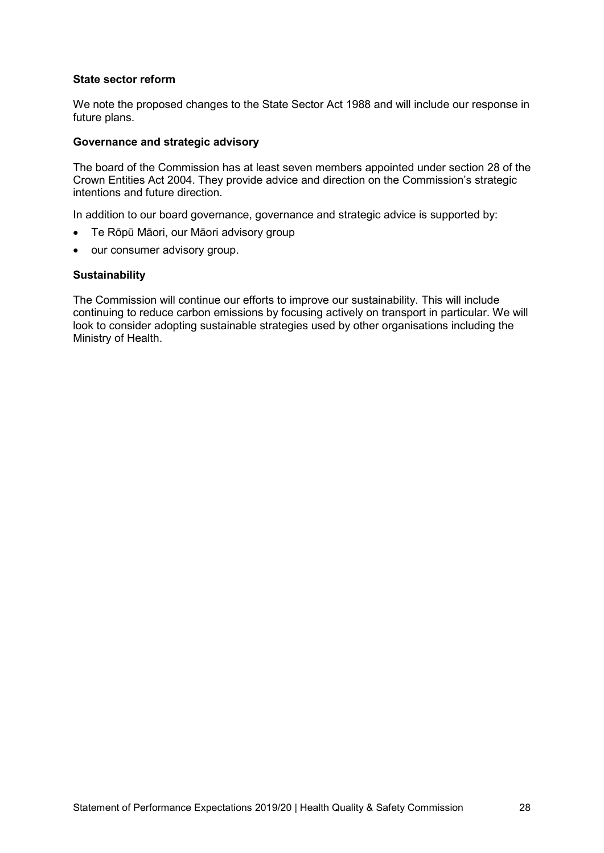#### <span id="page-27-0"></span>**State sector reform**

We note the proposed changes to the State Sector Act 1988 and will include our response in future plans.

#### <span id="page-27-1"></span>**Governance and strategic advisory**

The board of the Commission has at least seven members appointed under section 28 of the Crown Entities Act 2004. They provide advice and direction on the Commission's strategic intentions and future direction.

In addition to our board governance, governance and strategic advice is supported by:

- Te Rōpū Māori, our Māori advisory group
- our consumer advisory group.

#### <span id="page-27-2"></span>**Sustainability**

The Commission will continue our efforts to improve our sustainability. This will include continuing to reduce carbon emissions by focusing actively on transport in particular. We will look to consider adopting sustainable strategies used by other organisations including the Ministry of Health.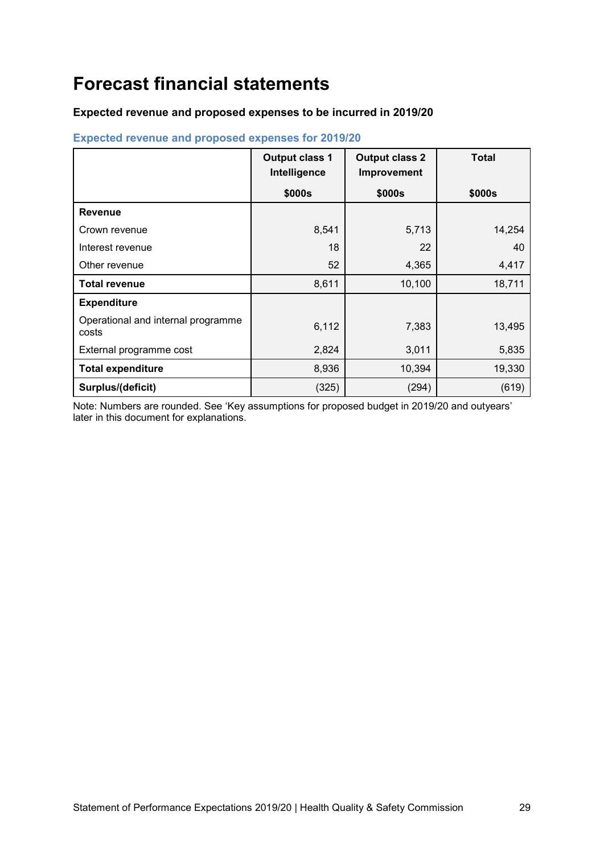# <span id="page-28-0"></span>**Forecast financial statements**

# <span id="page-28-1"></span>**Expected revenue and proposed expenses to be incurred in 2019/20**

|                                             | <b>Output class 1</b><br>Intelligence | <b>Output class 2</b><br>Improvement | <b>Total</b> |
|---------------------------------------------|---------------------------------------|--------------------------------------|--------------|
|                                             | \$000s                                | \$000s                               | \$000s       |
| <b>Revenue</b>                              |                                       |                                      |              |
| Crown revenue                               | 8,541                                 | 5,713                                | 14,254       |
| Interest revenue                            | 18                                    | 22                                   | 40           |
| Other revenue                               | 52                                    | 4,365                                | 4,417        |
| <b>Total revenue</b>                        | 8,611                                 | 10,100                               | 18,711       |
| <b>Expenditure</b>                          |                                       |                                      |              |
| Operational and internal programme<br>costs | 6,112                                 | 7,383                                | 13,495       |
| External programme cost                     | 2,824                                 | 3,011                                | 5,835        |
| <b>Total expenditure</b>                    | 8,936                                 | 10,394                               | 19,330       |
| Surplus/(deficit)                           | (325)                                 | (294)                                | (619)        |

# **Expected revenue and proposed expenses for 2019/20**

Note: Numbers are rounded. See ['Key assumptions for proposed budget in 2019/20 and outyears'](#page-33-1)  later in this document for explanations.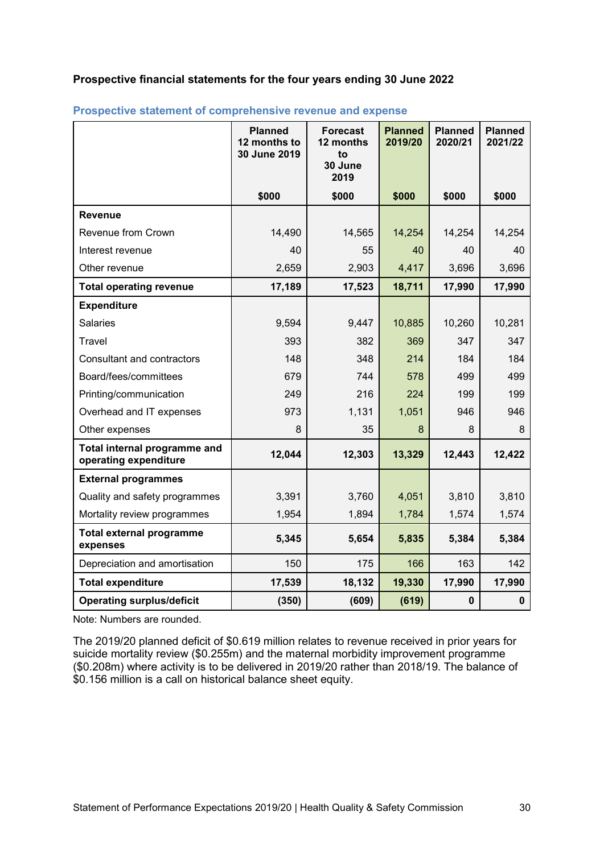# <span id="page-29-0"></span>**Prospective financial statements for the four years ending 30 June 2022**

|                                                       | <b>Planned</b><br>12 months to<br>30 June 2019 | <b>Forecast</b><br>12 months<br>to<br>30 June<br>2019 | <b>Planned</b><br>2019/20 | <b>Planned</b><br>2020/21 | <b>Planned</b><br>2021/22 |
|-------------------------------------------------------|------------------------------------------------|-------------------------------------------------------|---------------------------|---------------------------|---------------------------|
|                                                       | \$000                                          | \$000                                                 | \$000                     | \$000                     | \$000                     |
| <b>Revenue</b>                                        |                                                |                                                       |                           |                           |                           |
| Revenue from Crown                                    | 14,490                                         | 14,565                                                | 14,254                    | 14,254                    | 14,254                    |
| Interest revenue                                      | 40                                             | 55                                                    | 40                        | 40                        | 40                        |
| Other revenue                                         | 2,659                                          | 2,903                                                 | 4,417                     | 3,696                     | 3,696                     |
| <b>Total operating revenue</b>                        | 17,189                                         | 17,523                                                | 18,711                    | 17,990                    | 17,990                    |
| <b>Expenditure</b>                                    |                                                |                                                       |                           |                           |                           |
| <b>Salaries</b>                                       | 9,594                                          | 9,447                                                 | 10,885                    | 10,260                    | 10,281                    |
| Travel                                                | 393                                            | 382                                                   | 369                       | 347                       | 347                       |
| <b>Consultant and contractors</b>                     | 148                                            | 348                                                   | 214                       | 184                       | 184                       |
| Board/fees/committees                                 | 679                                            | 744                                                   | 578                       | 499                       | 499                       |
| Printing/communication                                | 249                                            | 216                                                   | 224                       | 199                       | 199                       |
| Overhead and IT expenses                              | 973                                            | 1,131                                                 | 1,051                     | 946                       | 946                       |
| Other expenses                                        | 8                                              | 35                                                    | 8                         | 8                         | 8                         |
| Total internal programme and<br>operating expenditure | 12,044                                         | 12,303                                                | 13,329                    | 12,443                    | 12,422                    |
| <b>External programmes</b>                            |                                                |                                                       |                           |                           |                           |
| Quality and safety programmes                         | 3,391                                          | 3,760                                                 | 4,051                     | 3,810                     | 3,810                     |
| Mortality review programmes                           | 1,954                                          | 1,894                                                 | 1,784                     | 1,574                     | 1,574                     |
| <b>Total external programme</b><br>expenses           | 5,345                                          | 5,654                                                 | 5,835                     | 5,384                     | 5,384                     |
| Depreciation and amortisation                         | 150                                            | 175                                                   | 166                       | 163                       | 142                       |
| <b>Total expenditure</b>                              | 17,539                                         | 18,132                                                | 19,330                    | 17,990                    | 17,990                    |
| <b>Operating surplus/deficit</b>                      | (350)                                          | (609)                                                 | (619)                     | $\mathbf 0$               | $\mathbf 0$               |

## **Prospective statement of comprehensive revenue and expense**

Note: Numbers are rounded.

The 2019/20 planned deficit of \$0.619 million relates to revenue received in prior years for suicide mortality review (\$0.255m) and the maternal morbidity improvement programme (\$0.208m) where activity is to be delivered in 2019/20 rather than 2018/19. The balance of \$0.156 million is a call on historical balance sheet equity.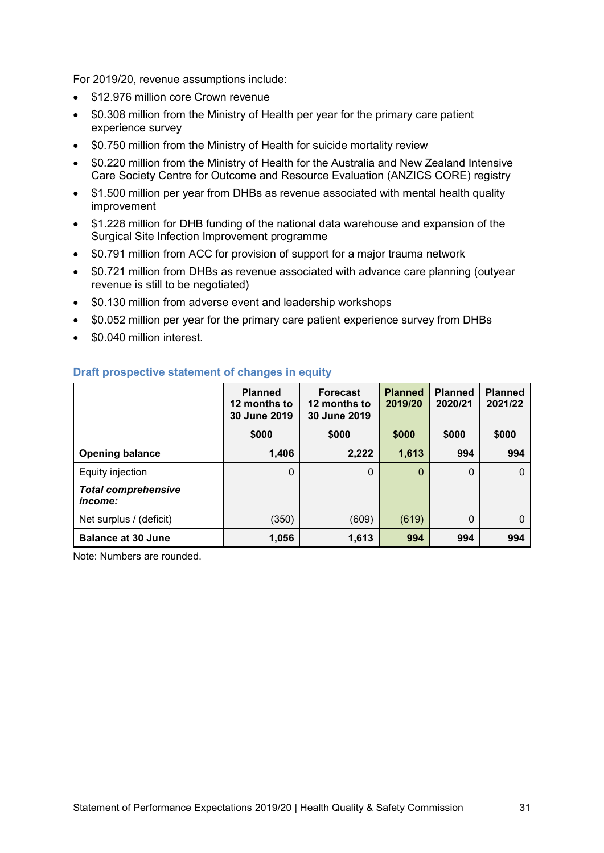For 2019/20, revenue assumptions include:

- \$12,976 million core Crown revenue
- \$0.308 million from the Ministry of Health per year for the primary care patient experience survey
- \$0.750 million from the Ministry of Health for suicide mortality review
- \$0.220 million from the Ministry of Health for the Australia and New Zealand Intensive Care Society Centre for Outcome and Resource Evaluation (ANZICS CORE) registry
- \$1.500 million per year from DHBs as revenue associated with mental health quality improvement
- \$1.228 million for DHB funding of the national data warehouse and expansion of the Surgical Site Infection Improvement programme
- \$0.791 million from ACC for provision of support for a major trauma network
- \$0.721 million from DHBs as revenue associated with advance care planning (outyear revenue is still to be negotiated)
- \$0.130 million from adverse event and leadership workshops
- \$0.052 million per year for the primary care patient experience survey from DHBs
- \$0.040 million interest

|                                              | <b>Planned</b><br>12 months to<br>30 June 2019 | <b>Forecast</b><br>12 months to<br>30 June 2019 | <b>Planned</b><br>2019/20 | <b>Planned</b><br>2020/21 | <b>Planned</b><br>2021/22 |
|----------------------------------------------|------------------------------------------------|-------------------------------------------------|---------------------------|---------------------------|---------------------------|
|                                              | \$000                                          | \$000                                           | \$000                     | \$000                     | \$000                     |
| <b>Opening balance</b>                       | 1,406                                          | 2,222                                           | 1,613                     | 994                       | 994                       |
| Equity injection                             | $\Omega$                                       | $\Omega$                                        | 0                         | 0                         | $\Omega$                  |
| <b>Total comprehensive</b><br><i>income:</i> |                                                |                                                 |                           |                           |                           |
| Net surplus / (deficit)                      | (350)                                          | (609)                                           | (619)                     | $\Omega$                  | $\Omega$                  |
| <b>Balance at 30 June</b>                    | 1,056                                          | 1,613                                           | 994                       | 994                       | 994                       |

# **Draft prospective statement of changes in equity**

Note: Numbers are rounded.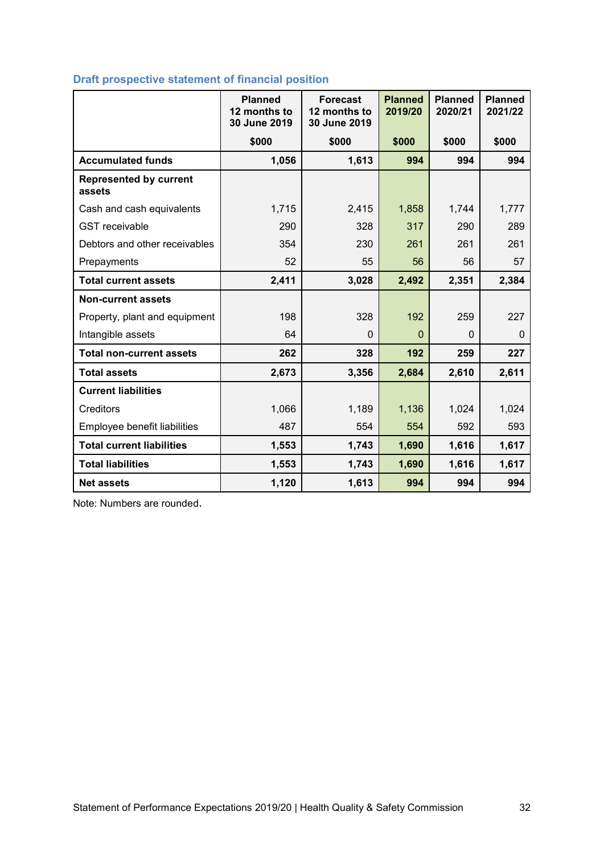# **Draft prospective statement of financial position**

|                                         | <b>Planned</b><br>12 months to<br>30 June 2019 | <b>Forecast</b><br>12 months to<br>30 June 2019 | <b>Planned</b><br>2019/20 | <b>Planned</b><br>2020/21 | <b>Planned</b><br>2021/22 |
|-----------------------------------------|------------------------------------------------|-------------------------------------------------|---------------------------|---------------------------|---------------------------|
|                                         | \$000                                          | \$000                                           | \$000                     | \$000                     | \$000                     |
| <b>Accumulated funds</b>                | 1,056                                          | 1,613                                           | 994                       | 994                       | 994                       |
| <b>Represented by current</b><br>assets |                                                |                                                 |                           |                           |                           |
| Cash and cash equivalents               | 1,715                                          | 2,415                                           | 1,858                     | 1,744                     | 1,777                     |
| <b>GST</b> receivable                   | 290                                            | 328                                             | 317                       | 290                       | 289                       |
| Debtors and other receivables           | 354                                            | 230                                             | 261                       | 261                       | 261                       |
| Prepayments                             | 52                                             | 55                                              | 56                        | 56                        | 57                        |
| <b>Total current assets</b>             | 2,411                                          | 3,028                                           | 2,492                     | 2,351                     | 2,384                     |
| <b>Non-current assets</b>               |                                                |                                                 |                           |                           |                           |
| Property, plant and equipment           | 198                                            | 328                                             | 192                       | 259                       | 227                       |
| Intangible assets                       | 64                                             | $\Omega$                                        | $\mathbf{0}$              | $\Omega$                  | $\Omega$                  |
| <b>Total non-current assets</b>         | 262                                            | 328                                             | 192                       | 259                       | 227                       |
| <b>Total assets</b>                     | 2,673                                          | 3,356                                           | 2,684                     | 2,610                     | 2,611                     |
| <b>Current liabilities</b>              |                                                |                                                 |                           |                           |                           |
| Creditors                               | 1,066                                          | 1,189                                           | 1,136                     | 1,024                     | 1,024                     |
| Employee benefit liabilities            | 487                                            | 554                                             | 554                       | 592                       | 593                       |
| <b>Total current liabilities</b>        | 1,553                                          | 1,743                                           | 1,690                     | 1,616                     | 1,617                     |
| <b>Total liabilities</b>                | 1,553                                          | 1,743                                           | 1,690                     | 1,616                     | 1,617                     |
| <b>Net assets</b>                       | 1,120                                          | 1,613                                           | 994                       | 994                       | 994                       |

Note: Numbers are rounded.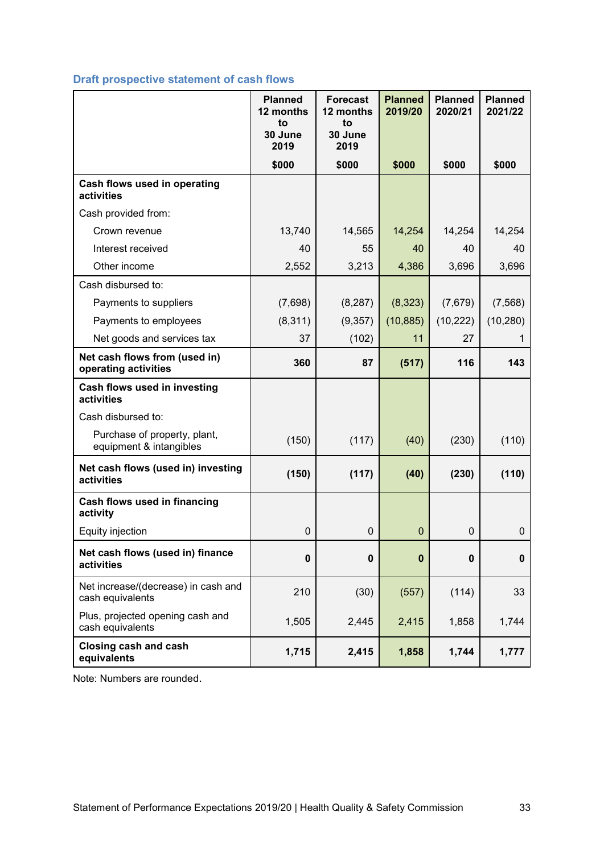# **Draft prospective statement of cash flows**

|                                                         | <b>Planned</b><br>12 months | <b>Forecast</b><br>12 months | <b>Planned</b><br>2019/20 | <b>Planned</b><br>2020/21 | <b>Planned</b><br>2021/22 |
|---------------------------------------------------------|-----------------------------|------------------------------|---------------------------|---------------------------|---------------------------|
|                                                         | to<br>30 June<br>2019       | to<br>30 June<br>2019        |                           |                           |                           |
|                                                         | \$000                       | \$000                        | \$000                     | \$000                     | \$000                     |
| Cash flows used in operating<br>activities              |                             |                              |                           |                           |                           |
| Cash provided from:                                     |                             |                              |                           |                           |                           |
| Crown revenue                                           | 13,740                      | 14,565                       | 14,254                    | 14,254                    | 14,254                    |
| Interest received                                       | 40                          | 55                           | 40                        | 40                        | 40                        |
| Other income                                            | 2,552                       | 3,213                        | 4,386                     | 3,696                     | 3,696                     |
| Cash disbursed to:                                      |                             |                              |                           |                           |                           |
| Payments to suppliers                                   | (7,698)                     | (8, 287)                     | (8,323)                   | (7,679)                   | (7, 568)                  |
| Payments to employees                                   | (8, 311)                    | (9,357)                      | (10, 885)                 | (10, 222)                 | (10, 280)                 |
| Net goods and services tax                              | 37                          | (102)                        | 11                        | 27                        |                           |
| Net cash flows from (used in)<br>operating activities   | 360                         | 87                           | (517)                     | 116                       | 143                       |
| Cash flows used in investing<br>activities              |                             |                              |                           |                           |                           |
| Cash disbursed to:                                      |                             |                              |                           |                           |                           |
| Purchase of property, plant,<br>equipment & intangibles | (150)                       | (117)                        | (40)                      | (230)                     | (110)                     |
| Net cash flows (used in) investing<br>activities        | (150)                       | (117)                        | (40)                      | (230)                     | (110)                     |
| Cash flows used in financing<br>activity                |                             |                              |                           |                           |                           |
| Equity injection                                        | $\mathbf 0$                 | 0                            | $\mathbf{0}$              | 0                         | $\boldsymbol{0}$          |
| Net cash flows (used in) finance<br>activities          | $\bf{0}$                    | $\bf{0}$                     | $\bf{0}$                  | $\mathbf 0$               | 0                         |
| Net increase/(decrease) in cash and<br>cash equivalents | 210                         | (30)                         | (557)                     | (114)                     | 33                        |
| Plus, projected opening cash and<br>cash equivalents    | 1,505                       | 2,445                        | 2,415                     | 1,858                     | 1,744                     |
| <b>Closing cash and cash</b><br>equivalents             | 1,715                       | 2,415                        | 1,858                     | 1,744                     | 1,777                     |

Note: Numbers are rounded.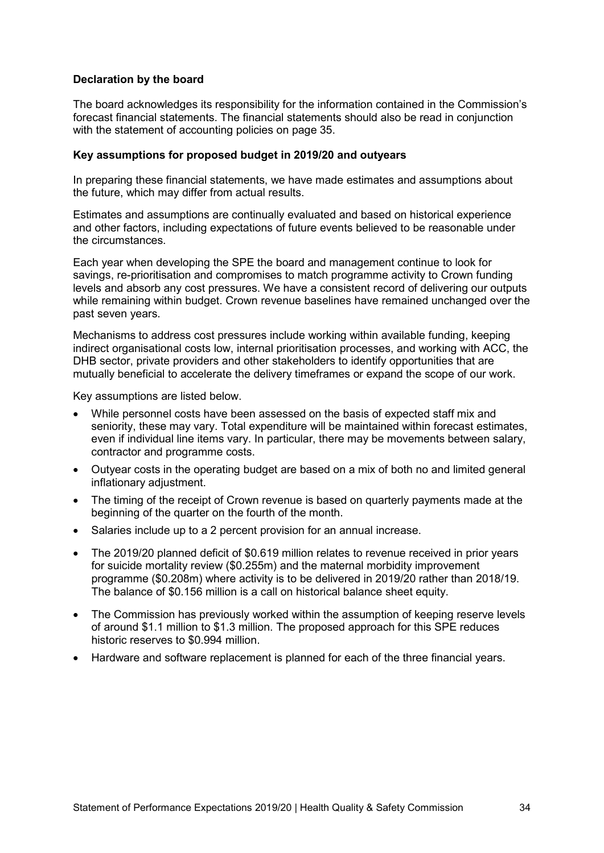#### <span id="page-33-0"></span>**Declaration by the board**

The board acknowledges its responsibility for the information contained in the Commission's forecast financial statements. The financial statements should also be read in conjunction with the statement of accounting policies on page [35.](#page-34-0)

#### <span id="page-33-1"></span>**Key assumptions for proposed budget in 2019/20 and outyears**

In preparing these financial statements, we have made estimates and assumptions about the future, which may differ from actual results.

Estimates and assumptions are continually evaluated and based on historical experience and other factors, including expectations of future events believed to be reasonable under the circumstances.

Each year when developing the SPE the board and management continue to look for savings, re-prioritisation and compromises to match programme activity to Crown funding levels and absorb any cost pressures. We have a consistent record of delivering our outputs while remaining within budget. Crown revenue baselines have remained unchanged over the past seven years.

Mechanisms to address cost pressures include working within available funding, keeping indirect organisational costs low, internal prioritisation processes, and working with ACC, the DHB sector, private providers and other stakeholders to identify opportunities that are mutually beneficial to accelerate the delivery timeframes or expand the scope of our work.

Key assumptions are listed below.

- While personnel costs have been assessed on the basis of expected staff mix and seniority, these may vary. Total expenditure will be maintained within forecast estimates, even if individual line items vary. In particular, there may be movements between salary, contractor and programme costs.
- Outyear costs in the operating budget are based on a mix of both no and limited general inflationary adjustment.
- The timing of the receipt of Crown revenue is based on quarterly payments made at the beginning of the quarter on the fourth of the month.
- Salaries include up to a 2 percent provision for an annual increase.
- The 2019/20 planned deficit of \$0.619 million relates to revenue received in prior years for suicide mortality review (\$0.255m) and the maternal morbidity improvement programme (\$0.208m) where activity is to be delivered in 2019/20 rather than 2018/19. The balance of \$0.156 million is a call on historical balance sheet equity.
- The Commission has previously worked within the assumption of keeping reserve levels of around \$1.1 million to \$1.3 million. The proposed approach for this SPE reduces historic reserves to \$0.994 million.
- Hardware and software replacement is planned for each of the three financial years.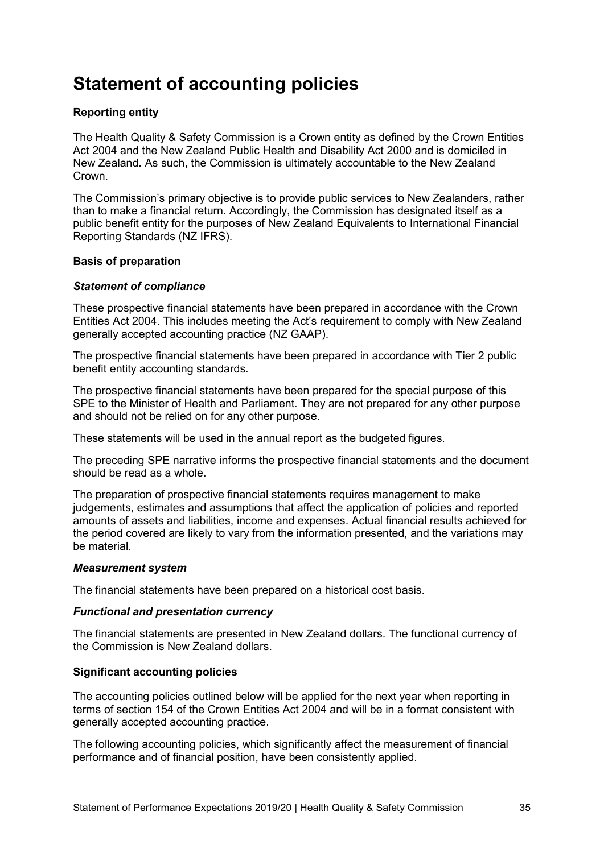# <span id="page-34-0"></span>**Statement of accounting policies**

# <span id="page-34-1"></span>**Reporting entity**

The Health Quality & Safety Commission is a Crown entity as defined by the Crown Entities Act 2004 and the New Zealand Public Health and Disability Act 2000 and is domiciled in New Zealand. As such, the Commission is ultimately accountable to the New Zealand **Crown** 

The Commission's primary objective is to provide public services to New Zealanders, rather than to make a financial return. Accordingly, the Commission has designated itself as a public benefit entity for the purposes of New Zealand Equivalents to International Financial Reporting Standards (NZ IFRS).

# <span id="page-34-2"></span>**Basis of preparation**

#### *Statement of compliance*

These prospective financial statements have been prepared in accordance with the Crown Entities Act 2004. This includes meeting the Act's requirement to comply with New Zealand generally accepted accounting practice (NZ GAAP).

The prospective financial statements have been prepared in accordance with Tier 2 public benefit entity accounting standards.

The prospective financial statements have been prepared for the special purpose of this SPE to the Minister of Health and Parliament. They are not prepared for any other purpose and should not be relied on for any other purpose.

These statements will be used in the annual report as the budgeted figures.

The preceding SPE narrative informs the prospective financial statements and the document should be read as a whole.

The preparation of prospective financial statements requires management to make judgements, estimates and assumptions that affect the application of policies and reported amounts of assets and liabilities, income and expenses. Actual financial results achieved for the period covered are likely to vary from the information presented, and the variations may be material.

#### *Measurement system*

The financial statements have been prepared on a historical cost basis.

# *Functional and presentation currency*

The financial statements are presented in New Zealand dollars. The functional currency of the Commission is New Zealand dollars.

#### <span id="page-34-3"></span>**Significant accounting policies**

The accounting policies outlined below will be applied for the next year when reporting in terms of section 154 of the Crown Entities Act 2004 and will be in a format consistent with generally accepted accounting practice.

The following accounting policies, which significantly affect the measurement of financial performance and of financial position, have been consistently applied.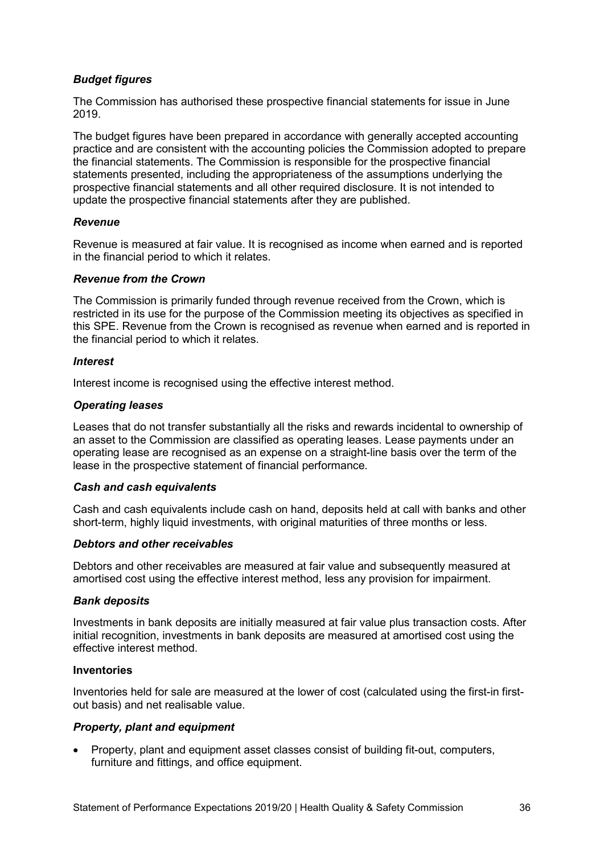# *Budget figures*

The Commission has authorised these prospective financial statements for issue in June 2019.

The budget figures have been prepared in accordance with generally accepted accounting practice and are consistent with the accounting policies the Commission adopted to prepare the financial statements. The Commission is responsible for the prospective financial statements presented, including the appropriateness of the assumptions underlying the prospective financial statements and all other required disclosure. It is not intended to update the prospective financial statements after they are published.

# *Revenue*

Revenue is measured at fair value. It is recognised as income when earned and is reported in the financial period to which it relates.

# *Revenue from the Crown*

The Commission is primarily funded through revenue received from the Crown, which is restricted in its use for the purpose of the Commission meeting its objectives as specified in this SPE. Revenue from the Crown is recognised as revenue when earned and is reported in the financial period to which it relates.

#### *Interest*

Interest income is recognised using the effective interest method.

# *Operating leases*

Leases that do not transfer substantially all the risks and rewards incidental to ownership of an asset to the Commission are classified as operating leases. Lease payments under an operating lease are recognised as an expense on a straight-line basis over the term of the lease in the prospective statement of financial performance.

# *Cash and cash equivalents*

Cash and cash equivalents include cash on hand, deposits held at call with banks and other short-term, highly liquid investments, with original maturities of three months or less.

# *Debtors and other receivables*

Debtors and other receivables are measured at fair value and subsequently measured at amortised cost using the effective interest method, less any provision for impairment.

#### *Bank deposits*

Investments in bank deposits are initially measured at fair value plus transaction costs. After initial recognition, investments in bank deposits are measured at amortised cost using the effective interest method.

#### **Inventories**

Inventories held for sale are measured at the lower of cost (calculated using the first-in firstout basis) and net realisable value.

# *Property, plant and equipment*

• Property, plant and equipment asset classes consist of building fit-out, computers, furniture and fittings, and office equipment.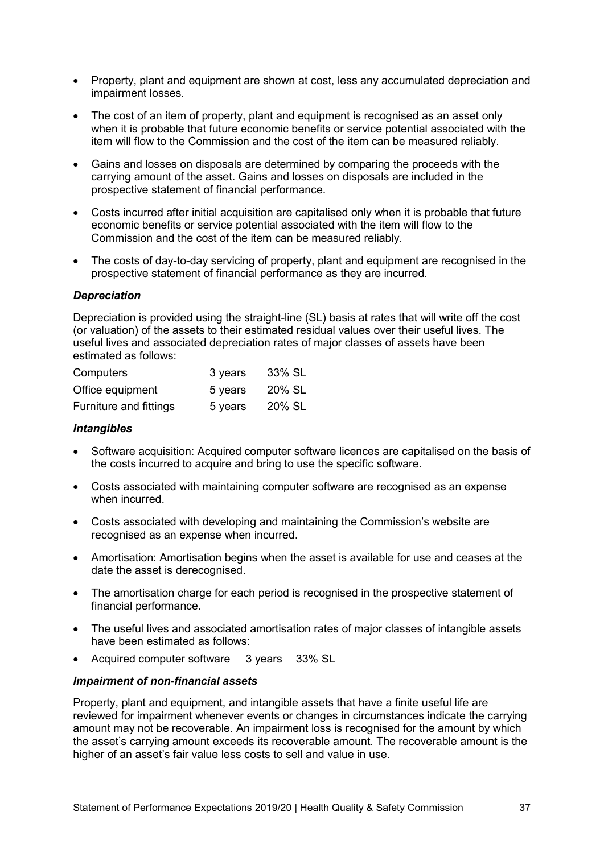- Property, plant and equipment are shown at cost, less any accumulated depreciation and impairment losses.
- The cost of an item of property, plant and equipment is recognised as an asset only when it is probable that future economic benefits or service potential associated with the item will flow to the Commission and the cost of the item can be measured reliably.
- Gains and losses on disposals are determined by comparing the proceeds with the carrying amount of the asset. Gains and losses on disposals are included in the prospective statement of financial performance.
- Costs incurred after initial acquisition are capitalised only when it is probable that future economic benefits or service potential associated with the item will flow to the Commission and the cost of the item can be measured reliably.
- The costs of day-to-day servicing of property, plant and equipment are recognised in the prospective statement of financial performance as they are incurred.

#### *Depreciation*

Depreciation is provided using the straight-line (SL) basis at rates that will write off the cost (or valuation) of the assets to their estimated residual values over their useful lives. The useful lives and associated depreciation rates of major classes of assets have been estimated as follows:

| Computers              | 3 years | 33% SL |
|------------------------|---------|--------|
| Office equipment       | 5 years | 20% SL |
| Furniture and fittings | 5 years | 20% SL |

#### *Intangibles*

- Software acquisition: Acquired computer software licences are capitalised on the basis of the costs incurred to acquire and bring to use the specific software.
- Costs associated with maintaining computer software are recognised as an expense when incurred.
- Costs associated with developing and maintaining the Commission's website are recognised as an expense when incurred.
- Amortisation: Amortisation begins when the asset is available for use and ceases at the date the asset is derecognised.
- The amortisation charge for each period is recognised in the prospective statement of financial performance.
- The useful lives and associated amortisation rates of major classes of intangible assets have been estimated as follows:
- Acquired computer software 3 years 33% SL

#### *Impairment of non-financial assets*

Property, plant and equipment, and intangible assets that have a finite useful life are reviewed for impairment whenever events or changes in circumstances indicate the carrying amount may not be recoverable. An impairment loss is recognised for the amount by which the asset's carrying amount exceeds its recoverable amount. The recoverable amount is the higher of an asset's fair value less costs to sell and value in use.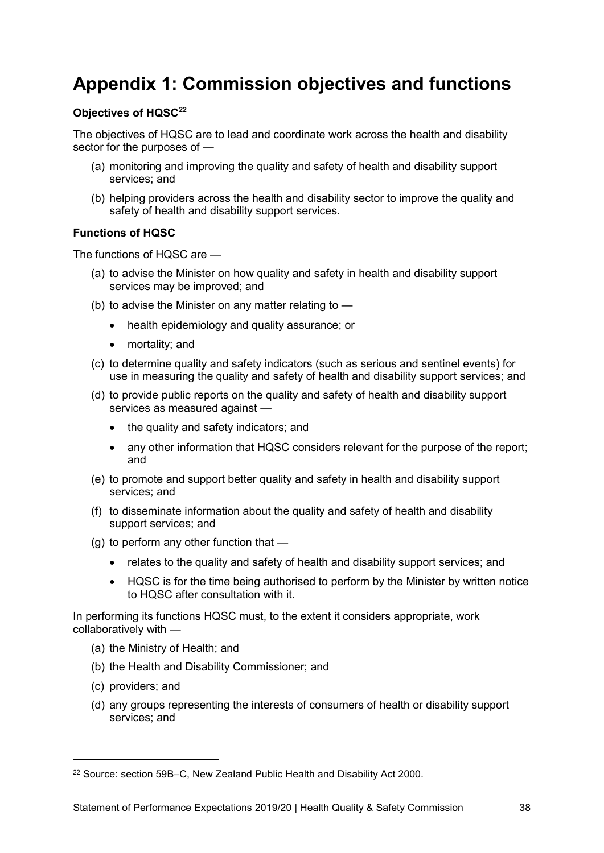# <span id="page-37-0"></span>**Appendix 1: Commission objectives and functions**

# **Objectives of HQS[C22](#page-37-1)**

The objectives of HQSC are to lead and coordinate work across the health and disability sector for the purposes of —

- (a) monitoring and improving the quality and safety of health and disability support services; and
- (b) helping providers across the health and disability sector to improve the quality and safety of health and disability support services.

# **Functions of HQSC**

The functions of HQSC are —

- (a) to advise the Minister on how quality and safety in health and disability support services may be improved; and
- (b) to advise the Minister on any matter relating to  $-$ 
	- health epidemiology and quality assurance; or
	- mortality; and
- (c) to determine quality and safety indicators (such as serious and sentinel events) for use in measuring the quality and safety of health and disability support services; and
- (d) to provide public reports on the quality and safety of health and disability support services as measured against —
	- the quality and safety indicators; and
	- any other information that HQSC considers relevant for the purpose of the report; and
- (e) to promote and support better quality and safety in health and disability support services; and
- (f) to disseminate information about the quality and safety of health and disability support services; and
- (g) to perform any other function that
	- relates to the quality and safety of health and disability support services; and
	- HQSC is for the time being authorised to perform by the Minister by written notice to HQSC after consultation with it.

In performing its functions HQSC must, to the extent it considers appropriate, work collaboratively with —

- (a) the Ministry of Health; and
- (b) the Health and Disability Commissioner; and
- (c) providers; and

-

(d) any groups representing the interests of consumers of health or disability support services; and

<span id="page-37-1"></span><sup>22</sup> Source: section 59B–C, New Zealand Public Health and Disability Act 2000.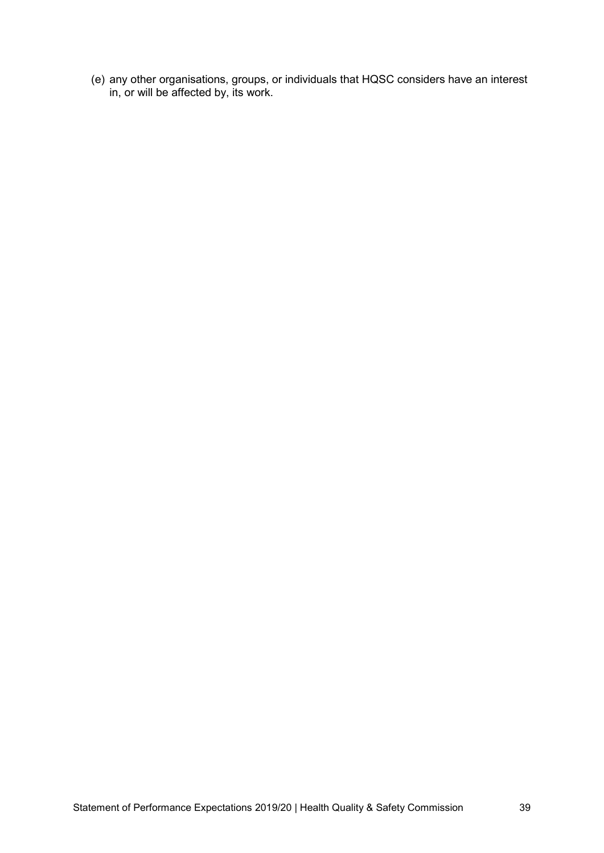(e) any other organisations, groups, or individuals that HQSC considers have an interest in, or will be affected by, its work.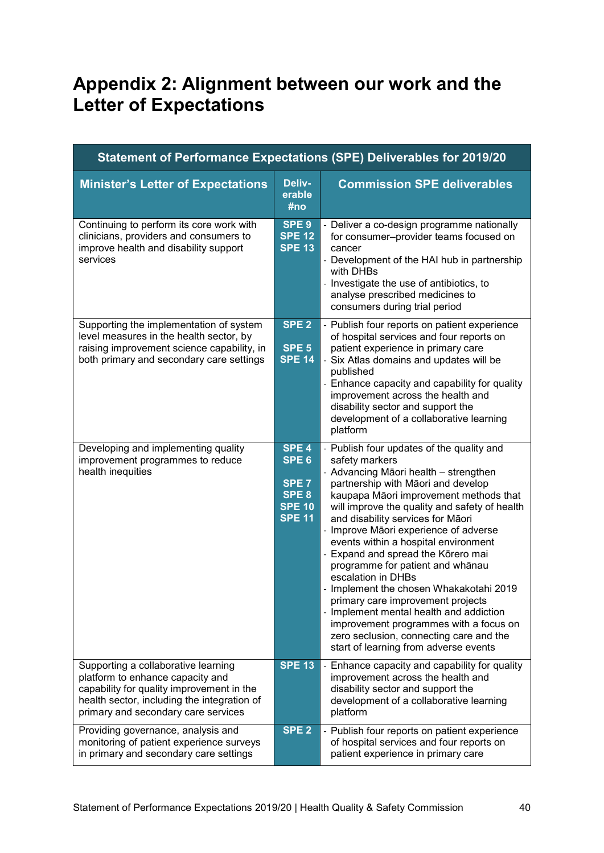# <span id="page-39-0"></span>**Appendix 2: Alignment between our work and the Letter of Expectations**

| Statement of Performance Expectations (SPE) Deliverables for 2019/20                                                                                                                                       |                                                                                                     |                                                                                                                                                                                                                                                                                                                                                                                                                                                                                                                                                                                                                                                                                                                      |  |  |  |  |  |
|------------------------------------------------------------------------------------------------------------------------------------------------------------------------------------------------------------|-----------------------------------------------------------------------------------------------------|----------------------------------------------------------------------------------------------------------------------------------------------------------------------------------------------------------------------------------------------------------------------------------------------------------------------------------------------------------------------------------------------------------------------------------------------------------------------------------------------------------------------------------------------------------------------------------------------------------------------------------------------------------------------------------------------------------------------|--|--|--|--|--|
| <b>Minister's Letter of Expectations</b>                                                                                                                                                                   | Deliv-<br>erable<br>#no                                                                             | <b>Commission SPE deliverables</b>                                                                                                                                                                                                                                                                                                                                                                                                                                                                                                                                                                                                                                                                                   |  |  |  |  |  |
| Continuing to perform its core work with<br>clinicians, providers and consumers to<br>improve health and disability support<br>services                                                                    | SPE <sub>9</sub><br><b>SPE 12</b><br><b>SPE 13</b>                                                  | - Deliver a co-design programme nationally<br>for consumer-provider teams focused on<br>cancer<br>- Development of the HAI hub in partnership<br>with DHBs<br>- Investigate the use of antibiotics, to<br>analyse prescribed medicines to<br>consumers during trial period                                                                                                                                                                                                                                                                                                                                                                                                                                           |  |  |  |  |  |
| Supporting the implementation of system<br>level measures in the health sector, by<br>raising improvement science capability, in<br>both primary and secondary care settings                               | SPE <sub>2</sub><br>SPE <sub>5</sub><br><b>SPE 14</b>                                               | - Publish four reports on patient experience<br>of hospital services and four reports on<br>patient experience in primary care<br>- Six Atlas domains and updates will be<br>published<br>- Enhance capacity and capability for quality<br>improvement across the health and<br>disability sector and support the<br>development of a collaborative learning<br>platform                                                                                                                                                                                                                                                                                                                                             |  |  |  |  |  |
| Developing and implementing quality<br>improvement programmes to reduce<br>health inequities                                                                                                               | SPE <sub>4</sub><br>SPE <sub>6</sub><br>SPE <sub>7</sub><br>SPE 8<br><b>SPE 10</b><br><b>SPE 11</b> | - Publish four updates of the quality and<br>safety markers<br>- Advancing Māori health - strengthen<br>partnership with Māori and develop<br>kaupapa Māori improvement methods that<br>will improve the quality and safety of health<br>and disability services for Māori<br>- Improve Māori experience of adverse<br>events within a hospital environment<br>- Expand and spread the Kōrero mai<br>programme for patient and whānau<br>escalation in DHBs<br>- Implement the chosen Whakakotahi 2019<br>primary care improvement projects<br>- Implement mental health and addiction<br>improvement programmes with a focus on<br>zero seclusion, connecting care and the<br>start of learning from adverse events |  |  |  |  |  |
| Supporting a collaborative learning<br>platform to enhance capacity and<br>capability for quality improvement in the<br>health sector, including the integration of<br>primary and secondary care services | <b>SPE 13</b>                                                                                       | - Enhance capacity and capability for quality<br>improvement across the health and<br>disability sector and support the<br>development of a collaborative learning<br>platform                                                                                                                                                                                                                                                                                                                                                                                                                                                                                                                                       |  |  |  |  |  |
| Providing governance, analysis and<br>monitoring of patient experience surveys<br>in primary and secondary care settings                                                                                   | SPE <sub>2</sub>                                                                                    | Publish four reports on patient experience<br>of hospital services and four reports on<br>patient experience in primary care                                                                                                                                                                                                                                                                                                                                                                                                                                                                                                                                                                                         |  |  |  |  |  |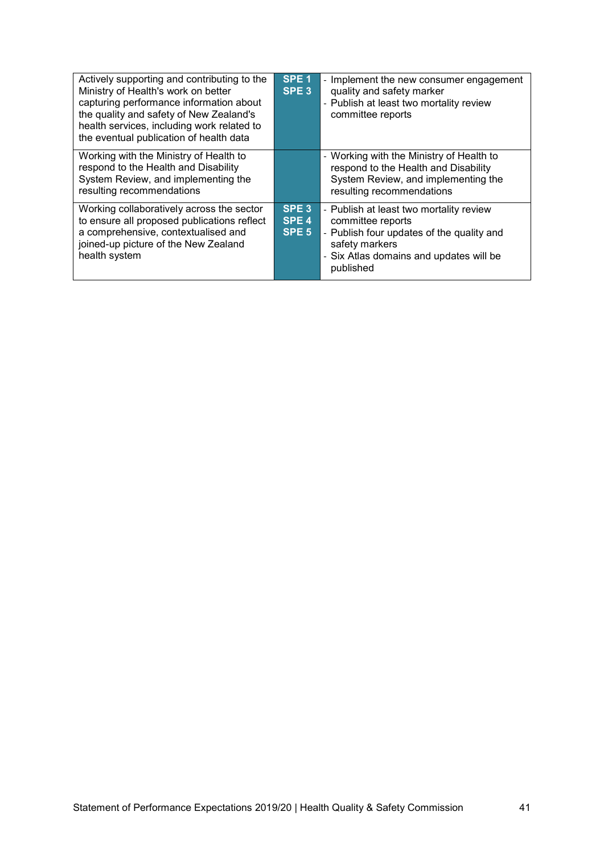| Actively supporting and contributing to the<br>Ministry of Health's work on better<br>capturing performance information about<br>the quality and safety of New Zealand's<br>health services, including work related to<br>the eventual publication of health data | SPE <sub>1</sub><br>SPE <sub>3</sub>                     | - Implement the new consumer engagement<br>quality and safety marker<br>- Publish at least two mortality review<br>committee reports                                                |
|-------------------------------------------------------------------------------------------------------------------------------------------------------------------------------------------------------------------------------------------------------------------|----------------------------------------------------------|-------------------------------------------------------------------------------------------------------------------------------------------------------------------------------------|
| Working with the Ministry of Health to<br>respond to the Health and Disability<br>System Review, and implementing the<br>resulting recommendations                                                                                                                |                                                          | - Working with the Ministry of Health to<br>respond to the Health and Disability<br>System Review, and implementing the<br>resulting recommendations                                |
| Working collaboratively across the sector<br>to ensure all proposed publications reflect<br>a comprehensive, contextualised and<br>joined-up picture of the New Zealand<br>health system                                                                          | SPE <sub>3</sub><br>SPE <sub>4</sub><br>SPE <sub>5</sub> | - Publish at least two mortality review<br>committee reports<br>- Publish four updates of the quality and<br>safety markers<br>- Six Atlas domains and updates will be<br>published |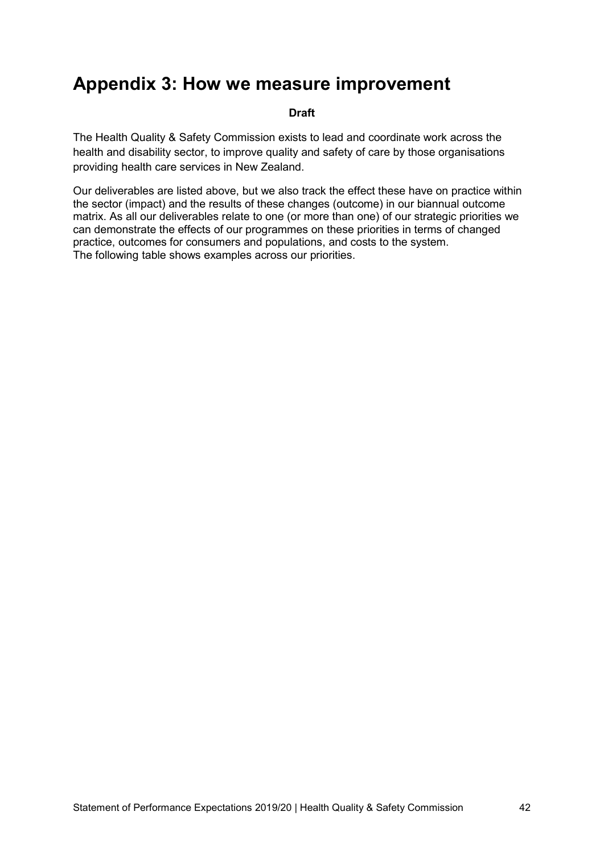# <span id="page-41-0"></span>**Appendix 3: How we measure improvement**

### **Draft**

The Health Quality & Safety Commission exists to lead and coordinate work across the health and disability sector, to improve quality and safety of care by those organisations providing health care services in New Zealand.

Our deliverables are listed above, but we also track the effect these have on practice within the sector (impact) and the results of these changes (outcome) in our biannual outcome matrix. As all our deliverables relate to one (or more than one) of our strategic priorities we can demonstrate the effects of our programmes on these priorities in terms of changed practice, outcomes for consumers and populations, and costs to the system. The following table shows examples across our priorities.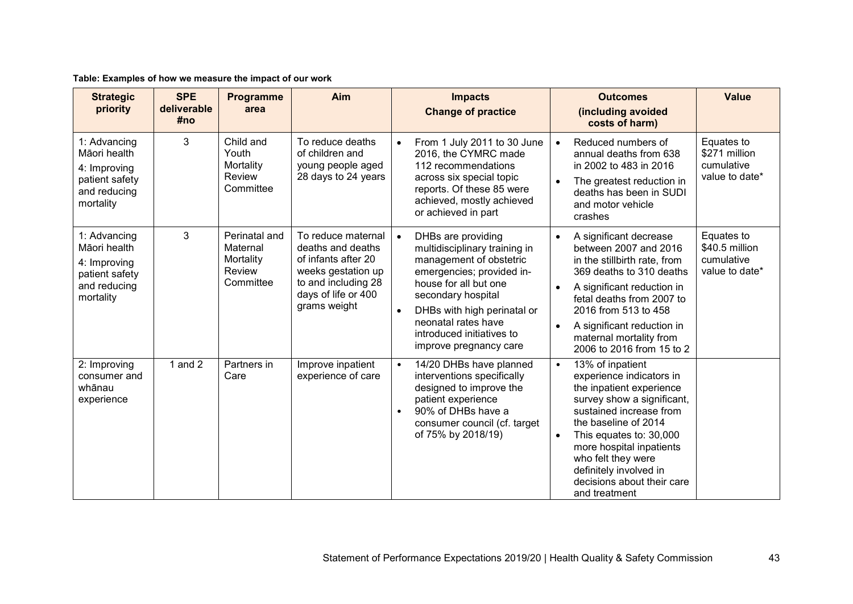| Table: Examples of how we measure the impact of our work |
|----------------------------------------------------------|
|----------------------------------------------------------|

| <b>Strategic</b><br>priority                                                                | <b>SPE</b><br>deliverable<br>#no | Programme<br>area                                             | Aim                                                                                                                                                | <b>Impacts</b><br><b>Outcomes</b><br><b>Change of practice</b><br>(including avoided<br>costs of harm)                                                                                                                                                                                                                                                                                                                                                                                                                                                                                                                           | <b>Value</b>                                                 |
|---------------------------------------------------------------------------------------------|----------------------------------|---------------------------------------------------------------|----------------------------------------------------------------------------------------------------------------------------------------------------|----------------------------------------------------------------------------------------------------------------------------------------------------------------------------------------------------------------------------------------------------------------------------------------------------------------------------------------------------------------------------------------------------------------------------------------------------------------------------------------------------------------------------------------------------------------------------------------------------------------------------------|--------------------------------------------------------------|
| 1: Advancing<br>Māori health<br>4: Improving<br>patient safety<br>and reducing<br>mortality | 3                                | Child and<br>Youth<br>Mortality<br>Review<br>Committee        | To reduce deaths<br>of children and<br>young people aged<br>28 days to 24 years                                                                    | Reduced numbers of<br>From 1 July 2011 to 30 June<br>$\bullet$<br>$\bullet$<br>2016, the CYMRC made<br>annual deaths from 638<br>112 recommendations<br>in 2002 to 483 in 2016<br>across six special topic<br>The greatest reduction in<br>$\bullet$<br>reports. Of these 85 were<br>deaths has been in SUDI<br>achieved, mostly achieved<br>and motor vehicle<br>or achieved in part<br>crashes                                                                                                                                                                                                                                 | Equates to<br>\$271 million<br>cumulative<br>value to date*  |
| 1: Advancing<br>Māori health<br>4: Improving<br>patient safety<br>and reducing<br>mortality | 3                                | Perinatal and<br>Maternal<br>Mortality<br>Review<br>Committee | To reduce maternal<br>deaths and deaths<br>of infants after 20<br>weeks gestation up<br>to and including 28<br>days of life or 400<br>grams weight | DHBs are providing<br>A significant decrease<br>$\bullet$<br>$\bullet$<br>between 2007 and 2016<br>multidisciplinary training in<br>management of obstetric<br>in the stillbirth rate, from<br>emergencies; provided in-<br>369 deaths to 310 deaths<br>house for all but one<br>A significant reduction in<br>$\bullet$<br>secondary hospital<br>fetal deaths from 2007 to<br>DHBs with high perinatal or<br>2016 from 513 to 458<br>$\bullet$<br>neonatal rates have<br>A significant reduction in<br>$\bullet$<br>introduced initiatives to<br>maternal mortality from<br>improve pregnancy care<br>2006 to 2016 from 15 to 2 | Equates to<br>\$40.5 million<br>cumulative<br>value to date* |
| 2: Improving<br>consumer and<br>whānau<br>experience                                        | 1 and $2$                        | Partners in<br>Care                                           | Improve inpatient<br>experience of care                                                                                                            | 14/20 DHBs have planned<br>13% of inpatient<br>$\bullet$<br>$\bullet$<br>interventions specifically<br>experience indicators in<br>designed to improve the<br>the inpatient experience<br>survey show a significant,<br>patient experience<br>90% of DHBs have a<br>sustained increase from<br>$\bullet$<br>the baseline of 2014<br>consumer council (cf. target<br>of 75% by 2018/19)<br>This equates to: 30,000<br>$\bullet$<br>more hospital inpatients<br>who felt they were<br>definitely involved in<br>decisions about their care<br>and treatment                                                                        |                                                              |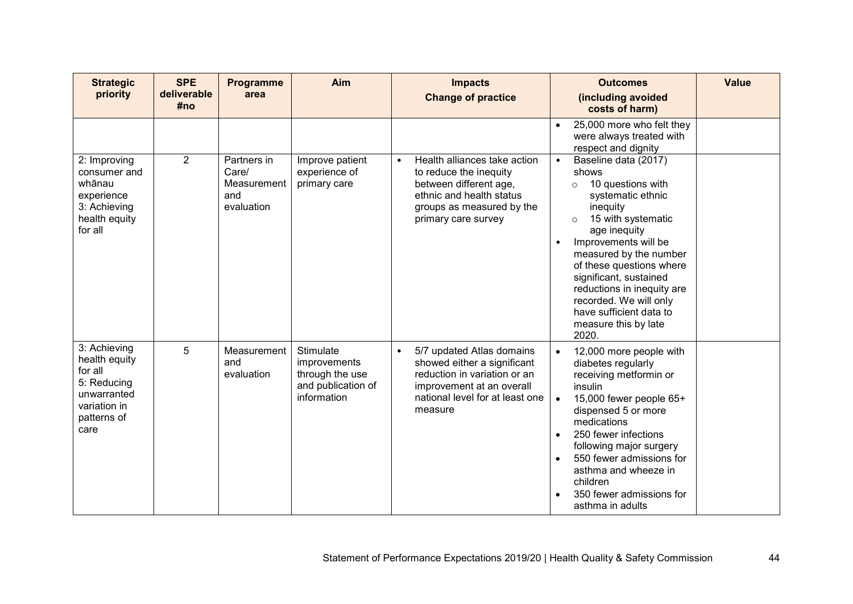| <b>Strategic</b><br>priority                                                                                  | <b>SPE</b><br>deliverable<br>#no | Programme<br>area                                        | Aim                                                                               | <b>Impacts</b><br><b>Change of practice</b>                                                                                                                                      | <b>Outcomes</b><br>(including avoided<br>costs of harm)                                                                                                                                                                                                                                                                                                                                               | <b>Value</b> |
|---------------------------------------------------------------------------------------------------------------|----------------------------------|----------------------------------------------------------|-----------------------------------------------------------------------------------|----------------------------------------------------------------------------------------------------------------------------------------------------------------------------------|-------------------------------------------------------------------------------------------------------------------------------------------------------------------------------------------------------------------------------------------------------------------------------------------------------------------------------------------------------------------------------------------------------|--------------|
|                                                                                                               |                                  |                                                          |                                                                                   |                                                                                                                                                                                  | 25,000 more who felt they<br>$\bullet$<br>were always treated with<br>respect and dignity                                                                                                                                                                                                                                                                                                             |              |
| 2: Improving<br>consumer and<br>whānau<br>experience<br>3: Achieving<br>health equity<br>for all              | $\overline{2}$                   | Partners in<br>Care/<br>Measurement<br>and<br>evaluation | Improve patient<br>experience of<br>primary care                                  | Health alliances take action<br>$\bullet$<br>to reduce the inequity<br>between different age,<br>ethnic and health status<br>groups as measured by the<br>primary care survey    | Baseline data (2017)<br>$\bullet$<br>shows<br>10 questions with<br>$\circ$<br>systematic ethnic<br>inequity<br>15 with systematic<br>$\circ$<br>age inequity<br>Improvements will be<br>$\bullet$<br>measured by the number<br>of these questions where<br>significant, sustained<br>reductions in inequity are<br>recorded. We will only<br>have sufficient data to<br>measure this by late<br>2020. |              |
| 3: Achieving<br>health equity<br>for all<br>5: Reducing<br>unwarranted<br>variation in<br>patterns of<br>care | 5                                | Measurement<br>and<br>evaluation                         | Stimulate<br>improvements<br>through the use<br>and publication of<br>information | 5/7 updated Atlas domains<br>$\bullet$<br>showed either a significant<br>reduction in variation or an<br>improvement at an overall<br>national level for at least one<br>measure | 12,000 more people with<br>$\bullet$<br>diabetes regularly<br>receiving metformin or<br>insulin<br>15,000 fewer people 65+<br>$\bullet$<br>dispensed 5 or more<br>medications<br>250 fewer infections<br>$\bullet$<br>following major surgery<br>550 fewer admissions for<br>$\bullet$<br>asthma and wheeze in<br>children<br>350 fewer admissions for<br>asthma in adults                            |              |